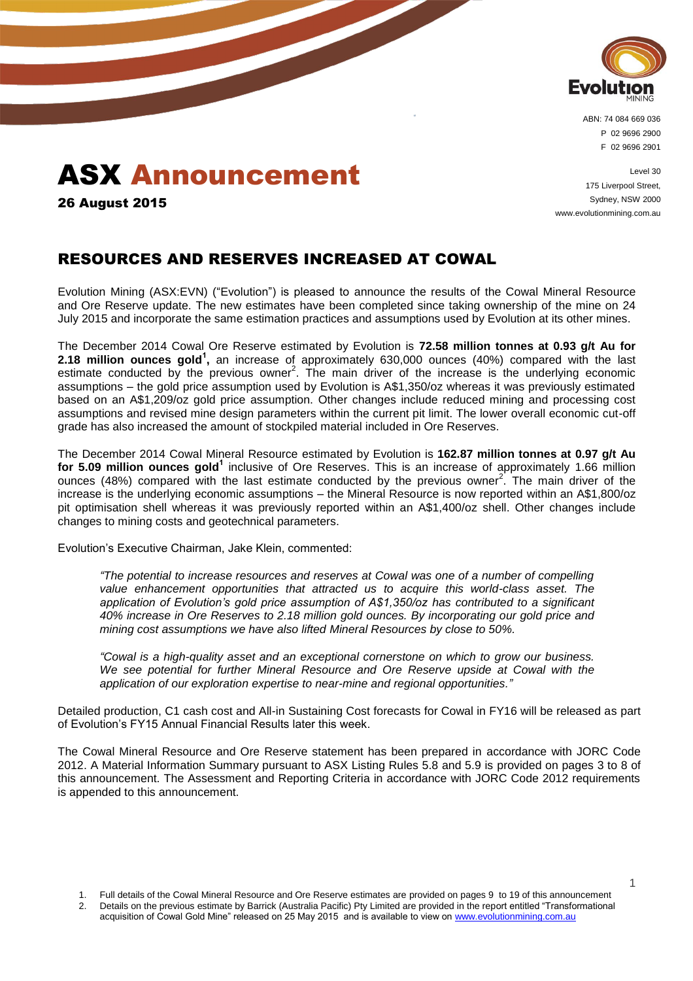

ABN: 74 084 669 036 P 02 9696 2900 F 02 9696 2901

# ASX Announcement

26 August 2015

Level 30 175 Liverpool Street, Sydney, NSW 2000 www.evolutionmining.com.au

### RESOURCES AND RESERVES INCREASED AT COWAL

Evolution Mining (ASX:EVN) ("Evolution") is pleased to announce the results of the Cowal Mineral Resource and Ore Reserve update. The new estimates have been completed since taking ownership of the mine on 24 July 2015 and incorporate the same estimation practices and assumptions used by Evolution at its other mines.

The December 2014 Cowal Ore Reserve estimated by Evolution is **72.58 million tonnes at 0.93 g/t Au for 2.18 million ounces gold<sup>1</sup>**, an increase of approximately 630,000 ounces (40%) compared with the last estimate conducted by the previous owner<sup>2</sup>. The main driver of the increase is the underlying economic assumptions – the gold price assumption used by Evolution is A\$1,350/oz whereas it was previously estimated based on an A\$1,209/oz gold price assumption. Other changes include reduced mining and processing cost assumptions and revised mine design parameters within the current pit limit. The lower overall economic cut-off grade has also increased the amount of stockpiled material included in Ore Reserves.

The December 2014 Cowal Mineral Resource estimated by Evolution is **162.87 million tonnes at 0.97 g/t Au for 5.09 million ounces gold<sup>1</sup>** inclusive of Ore Reserves. This is an increase of approximately 1.66 million ounces (48%) compared with the last estimate conducted by the previous owner<sup>2</sup>. The main driver of the increase is the underlying economic assumptions – the Mineral Resource is now reported within an A\$1,800/oz pit optimisation shell whereas it was previously reported within an A\$1,400/oz shell. Other changes include changes to mining costs and geotechnical parameters.

Evolution's Executive Chairman, Jake Klein, commented:

*"The potential to increase resources and reserves at Cowal was one of a number of compelling value enhancement opportunities that attracted us to acquire this world-class asset. The application of Evolution's gold price assumption of A\$1,350/oz has contributed to a significant 40% increase in Ore Reserves to 2.18 million gold ounces. By incorporating our gold price and mining cost assumptions we have also lifted Mineral Resources by close to 50%.*

*"Cowal is a high-quality asset and an exceptional cornerstone on which to grow our business. We see potential for further Mineral Resource and Ore Reserve upside at Cowal with the application of our exploration expertise to near-mine and regional opportunities."*

Detailed production, C1 cash cost and All-in Sustaining Cost forecasts for Cowal in FY16 will be released as part of Evolution's FY15 Annual Financial Results later this week.

The Cowal Mineral Resource and Ore Reserve statement has been prepared in accordance with JORC Code 2012. A Material Information Summary pursuant to ASX Listing Rules 5.8 and 5.9 is provided on pages 3 to 8 of this announcement. The Assessment and Reporting Criteria in accordance with JORC Code 2012 requirements is appended to this announcement.

acquisition of Cowal Gold Mine" released on 25 May 2015 and is available to view o[n www.evolutionmining.com.au](http://www.evolutionmining.com.au/)

<sup>1.</sup> Full details of the Cowal Mineral Resource and Ore Reserve estimates are provided on pages 9 to 19 of this announcement 2. Details on the previous estimate by Barrick (Australia Pacific) Pty Limited are provided in the report entitled "Transformational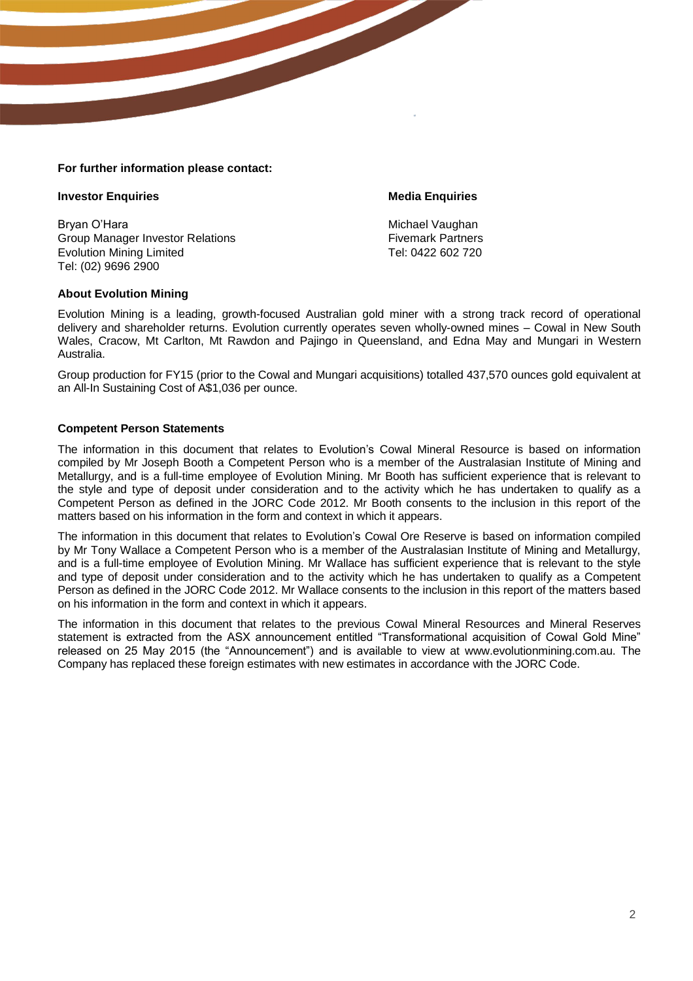#### **For further information please contact:**

#### **Investor Enquiries Media Enquiries**

Bryan O'Hara Michael Vaughan Michael Vaughan Michael Vaughan Group Manager Investor Relations<br>
Evolution Mining Limited<br>
Five Tel: 0422 602 720 Evolution Mining Limited Tel: (02) 9696 2900

#### **About Evolution Mining**

Evolution Mining is a leading, growth-focused Australian gold miner with a strong track record of operational delivery and shareholder returns. Evolution currently operates seven wholly-owned mines – Cowal in New South Wales, Cracow, Mt Carlton, Mt Rawdon and Pajingo in Queensland, and Edna May and Mungari in Western Australia.

Group production for FY15 (prior to the Cowal and Mungari acquisitions) totalled 437,570 ounces gold equivalent at an All-In Sustaining Cost of A\$1,036 per ounce.

#### **Competent Person Statements**

The information in this document that relates to Evolution's Cowal Mineral Resource is based on information compiled by Mr Joseph Booth a Competent Person who is a member of the Australasian Institute of Mining and Metallurgy, and is a full-time employee of Evolution Mining. Mr Booth has sufficient experience that is relevant to the style and type of deposit under consideration and to the activity which he has undertaken to qualify as a Competent Person as defined in the JORC Code 2012. Mr Booth consents to the inclusion in this report of the matters based on his information in the form and context in which it appears.

The information in this document that relates to Evolution's Cowal Ore Reserve is based on information compiled by Mr Tony Wallace a Competent Person who is a member of the Australasian Institute of Mining and Metallurgy, and is a full-time employee of Evolution Mining. Mr Wallace has sufficient experience that is relevant to the style and type of deposit under consideration and to the activity which he has undertaken to qualify as a Competent Person as defined in the JORC Code 2012. Mr Wallace consents to the inclusion in this report of the matters based on his information in the form and context in which it appears.

The information in this document that relates to the previous Cowal Mineral Resources and Mineral Reserves statement is extracted from the ASX announcement entitled "Transformational acquisition of Cowal Gold Mine" released on 25 May 2015 (the "Announcement") and is available to view at www.evolutionmining.com.au. The Company has replaced these foreign estimates with new estimates in accordance with the JORC Code.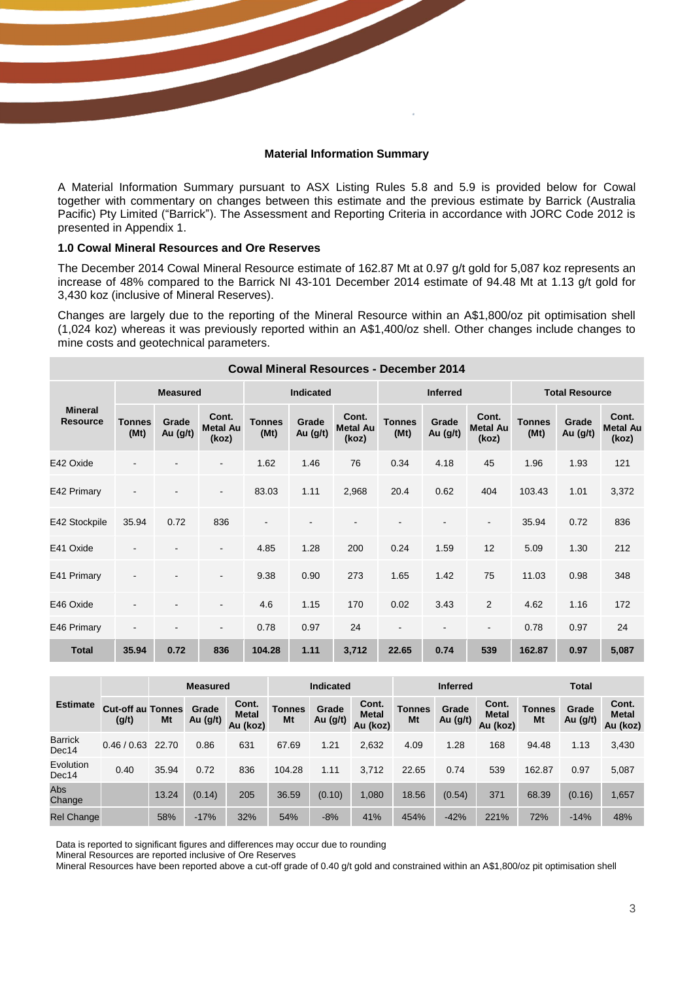#### **Material Information Summary**

A Material Information Summary pursuant to ASX Listing Rules 5.8 and 5.9 is provided below for Cowal together with commentary on changes between this estimate and the previous estimate by Barrick (Australia Pacific) Pty Limited ("Barrick"). The Assessment and Reporting Criteria in accordance with JORC Code 2012 is presented in Appendix 1.

#### **1.0 Cowal Mineral Resources and Ore Reserves**

The December 2014 Cowal Mineral Resource estimate of 162.87 Mt at 0.97 g/t gold for 5,087 koz represents an increase of 48% compared to the Barrick NI 43-101 December 2014 estimate of 94.48 Mt at 1.13 g/t gold for 3,430 koz (inclusive of Mineral Reserves).

Changes are largely due to the reporting of the Mineral Resource within an A\$1,800/oz pit optimisation shell (1,024 koz) whereas it was previously reported within an A\$1,400/oz shell. Other changes include changes to mine costs and geotechnical parameters.

|                                   | <b>Cowal Mineral Resources - December 2014</b> |                   |                                   |                       |                   |                                   |                       |                          |                                   |                       |                   |                                   |
|-----------------------------------|------------------------------------------------|-------------------|-----------------------------------|-----------------------|-------------------|-----------------------------------|-----------------------|--------------------------|-----------------------------------|-----------------------|-------------------|-----------------------------------|
|                                   |                                                | <b>Measured</b>   |                                   | <b>Indicated</b>      |                   |                                   | <b>Inferred</b>       |                          |                                   | <b>Total Resource</b> |                   |                                   |
| <b>Mineral</b><br><b>Resource</b> | <b>Tonnes</b><br>(Mt)                          | Grade<br>Au (g/t) | Cont.<br><b>Metal Au</b><br>(koz) | <b>Tonnes</b><br>(Mt) | Grade<br>Au (g/t) | Cont.<br><b>Metal Au</b><br>(koz) | <b>Tonnes</b><br>(Mt) | Grade<br>Au (g/t)        | Cont.<br><b>Metal Au</b><br>(koz) | <b>Tonnes</b><br>(Mt) | Grade<br>Au (g/t) | Cont.<br><b>Metal Au</b><br>(koz) |
| E42 Oxide                         |                                                |                   |                                   | 1.62                  | 1.46              | 76                                | 0.34                  | 4.18                     | 45                                | 1.96                  | 1.93              | 121                               |
| E42 Primary                       |                                                |                   |                                   | 83.03                 | 1.11              | 2,968                             | 20.4                  | 0.62                     | 404                               | 103.43                | 1.01              | 3,372                             |
| E42 Stockpile                     | 35.94                                          | 0.72              | 836                               | $\blacksquare$        |                   |                                   |                       |                          | $\overline{\phantom{a}}$          | 35.94                 | 0.72              | 836                               |
| E41 Oxide                         |                                                |                   |                                   | 4.85                  | 1.28              | 200                               | 0.24                  | 1.59                     | 12                                | 5.09                  | 1.30              | 212                               |
| E41 Primary                       |                                                |                   |                                   | 9.38                  | 0.90              | 273                               | 1.65                  | 1.42                     | 75                                | 11.03                 | 0.98              | 348                               |
| E46 Oxide                         |                                                |                   |                                   | 4.6                   | 1.15              | 170                               | 0.02                  | 3.43                     | $\overline{2}$                    | 4.62                  | 1.16              | 172                               |
| E46 Primary                       | $\overline{\phantom{a}}$                       |                   | $\blacksquare$                    | 0.78                  | 0.97              | 24                                | $\blacksquare$        | $\overline{\phantom{a}}$ | $\blacksquare$                    | 0.78                  | 0.97              | 24                                |
| <b>Total</b>                      | 35.94                                          | 0.72              | 836                               | 104.28                | 1.11              | 3,712                             | 22.65                 | 0.74                     | 539                               | 162.87                | 0.97              | 5,087                             |

|                         |                                   |       | <b>Measured</b>   |                                   | <b>Indicated</b>    |                   |                                   | <b>Inferred</b>     |                   |                                   | <b>Total</b>        |                   |                                   |
|-------------------------|-----------------------------------|-------|-------------------|-----------------------------------|---------------------|-------------------|-----------------------------------|---------------------|-------------------|-----------------------------------|---------------------|-------------------|-----------------------------------|
| <b>Estimate</b>         | <b>Cut-off au Tonnes</b><br>(g/t) | Mt    | Grade<br>Au (g/t) | Cont.<br><b>Metal</b><br>Au (koz) | <b>Tonnes</b><br>Mt | Grade<br>Au (g/t) | Cont.<br><b>Metal</b><br>Au (koz) | <b>Tonnes</b><br>Mt | Grade<br>Au (g/t) | Cont.<br><b>Metal</b><br>Au (koz) | <b>Tonnes</b><br>Mt | Grade<br>Au (g/t) | Cont.<br><b>Metal</b><br>Au (koz) |
| <b>Barrick</b><br>Dec14 | 0.46/0.63                         | 22.70 | 0.86              | 631                               | 67.69               | 1.21              | 2,632                             | 4.09                | 1.28              | 168                               | 94.48               | 1.13              | 3,430                             |
| Evolution<br>Dec14      | 0.40                              | 35.94 | 0.72              | 836                               | 104.28              | 1.11              | 3.712                             | 22.65               | 0.74              | 539                               | 162.87              | 0.97              | 5,087                             |
| Abs<br>Change           |                                   | 13.24 | (0.14)            | 205                               | 36.59               | (0.10)            | 1.080                             | 18.56               | (0.54)            | 371                               | 68.39               | (0.16)            | 1,657                             |
| <b>Rel Change</b>       |                                   | 58%   | $-17%$            | 32%                               | 54%                 | $-8%$             | 41%                               | 454%                | $-42%$            | 221%                              | 72%                 | $-14%$            | 48%                               |

Data is reported to significant figures and differences may occur due to rounding

Mineral Resources are reported inclusive of Ore Reserves

Mineral Resources have been reported above a cut-off grade of 0.40 g/t gold and constrained within an A\$1,800/oz pit optimisation shell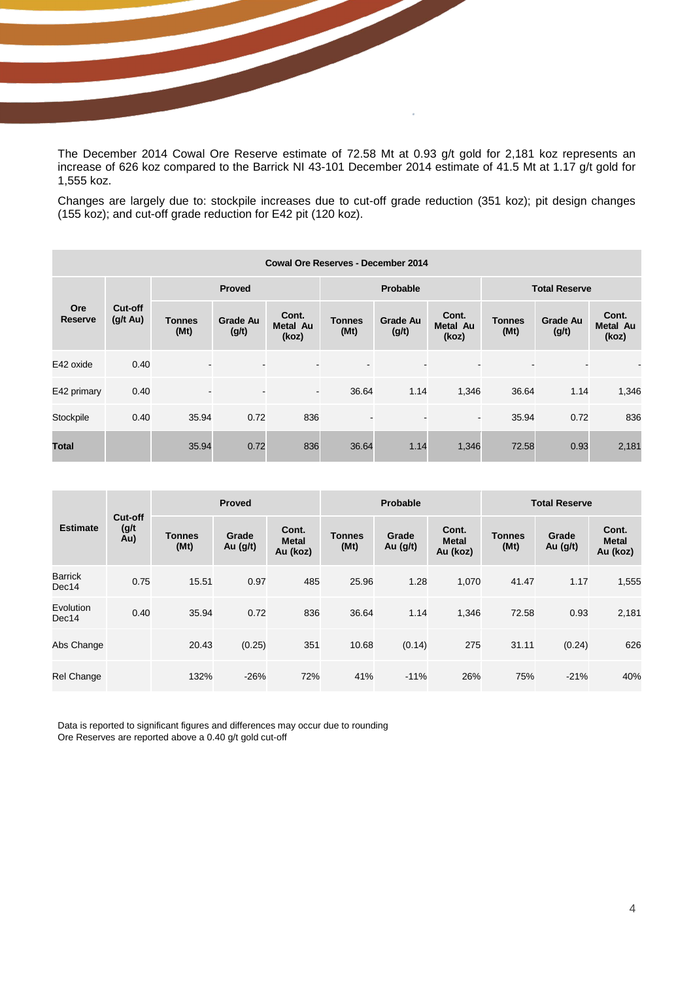The December 2014 Cowal Ore Reserve estimate of 72.58 Mt at 0.93 g/t gold for 2,181 koz represents an increase of 626 koz compared to the Barrick NI 43-101 December 2014 estimate of 41.5 Mt at 1.17 g/t gold for 1,555 koz.

Changes are largely due to: stockpile increases due to cut-off grade reduction (351 koz); pit design changes (155 koz); and cut-off grade reduction for E42 pit (120 koz).

|                              | <b>Cowal Ore Reserves - December 2014</b> |                       |                          |                                   |                              |                          |                                   |                       |                          |                                   |
|------------------------------|-------------------------------------------|-----------------------|--------------------------|-----------------------------------|------------------------------|--------------------------|-----------------------------------|-----------------------|--------------------------|-----------------------------------|
|                              |                                           |                       | <b>Proved</b>            |                                   |                              | Probable                 |                                   | <b>Total Reserve</b>  |                          |                                   |
| <b>Ore</b><br><b>Reserve</b> | Cut-off<br>$(g/t \text{ Au})$             | <b>Tonnes</b><br>(Mt) | <b>Grade Au</b><br>(g/t) | Cont.<br><b>Metal Au</b><br>(koz) | <b>Tonnes</b><br>(Mt)        | <b>Grade Au</b><br>(g/t) | Cont.<br><b>Metal Au</b><br>(koz) | <b>Tonnes</b><br>(Mt) | <b>Grade Au</b><br>(g/t) | Cont.<br><b>Metal Au</b><br>(koz) |
| E42 oxide                    | 0.40                                      |                       |                          |                                   |                              |                          |                                   |                       |                          |                                   |
| E42 primary                  | 0.40                                      | $\blacksquare$        | $\blacksquare$           | $\sim$                            | 36.64                        | 1.14                     | 1,346                             | 36.64                 | 1.14                     | 1,346                             |
| Stockpile                    | 0.40                                      | 35.94                 | 0.72                     | 836                               | $\qquad \qquad \blacksquare$ |                          | $\overline{\phantom{a}}$          | 35.94                 | 0.72                     | 836                               |
| <b>Total</b>                 |                                           | 35.94                 | 0.72                     | 836                               | 36.64                        | 1.14                     | 1,346                             | 72.58                 | 0.93                     | 2,181                             |

| <b>Estimate</b>    |                         | Proved                |                     |                                   | <b>Probable</b>       |                     |                                   | <b>Total Reserve</b>  |                   |                                   |  |
|--------------------|-------------------------|-----------------------|---------------------|-----------------------------------|-----------------------|---------------------|-----------------------------------|-----------------------|-------------------|-----------------------------------|--|
|                    | Cut-off<br>(g/t)<br>Au) | <b>Tonnes</b><br>(Mt) | Grade<br>Au $(g/t)$ | Cont.<br><b>Metal</b><br>Au (koz) | <b>Tonnes</b><br>(Mt) | Grade<br>Au $(g/t)$ | Cont.<br><b>Metal</b><br>Au (koz) | <b>Tonnes</b><br>(Mt) | Grade<br>Au (g/t) | Cont.<br><b>Metal</b><br>Au (koz) |  |
| Barrick<br>Dec14   | 0.75                    | 15.51                 | 0.97                | 485                               | 25.96                 | 1.28                | 1,070                             | 41.47                 | 1.17              | 1,555                             |  |
| Evolution<br>Dec14 | 0.40                    | 35.94                 | 0.72                | 836                               | 36.64                 | 1.14                | 1,346                             | 72.58                 | 0.93              | 2,181                             |  |
| Abs Change         |                         | 20.43                 | (0.25)              | 351                               | 10.68                 | (0.14)              | 275                               | 31.11                 | (0.24)            | 626                               |  |
| Rel Change         |                         | 132%                  | $-26%$              | 72%                               | 41%                   | $-11%$              | 26%                               | 75%                   | $-21%$            | 40%                               |  |

Data is reported to significant figures and differences may occur due to rounding Ore Reserves are reported above a 0.40 g/t gold cut-off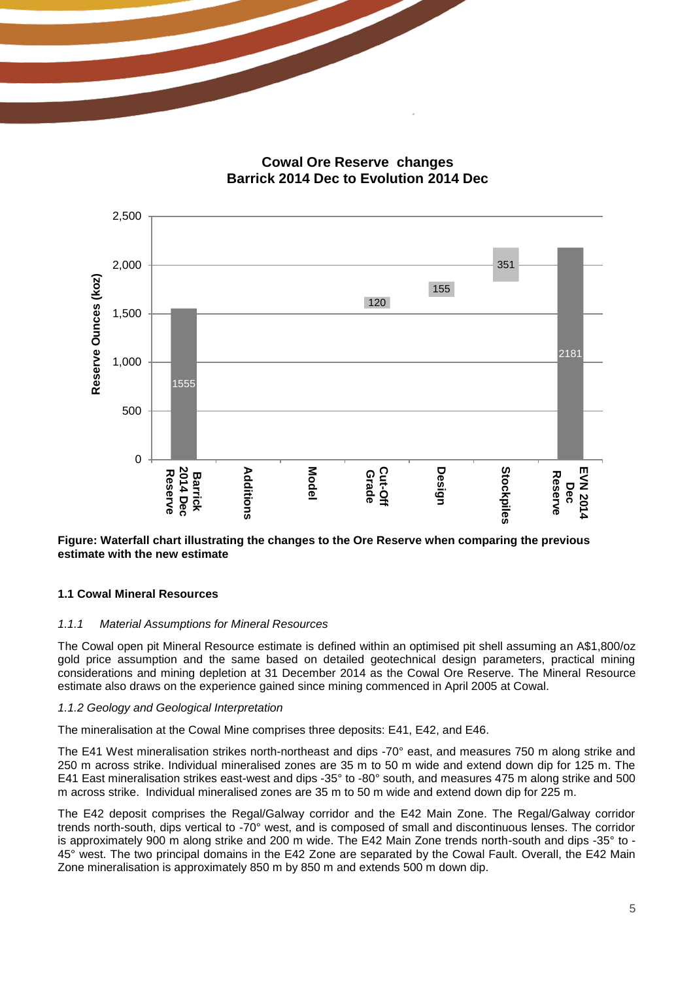**Cowal Ore Reserve changes Barrick 2014 Dec to Evolution 2014 Dec**



#### **Figure: Waterfall chart illustrating the changes to the Ore Reserve when comparing the previous estimate with the new estimate**

#### **1.1 Cowal Mineral Resources**

#### *1.1.1 Material Assumptions for Mineral Resources*

The Cowal open pit Mineral Resource estimate is defined within an optimised pit shell assuming an A\$1,800/oz gold price assumption and the same based on detailed geotechnical design parameters, practical mining considerations and mining depletion at 31 December 2014 as the Cowal Ore Reserve. The Mineral Resource estimate also draws on the experience gained since mining commenced in April 2005 at Cowal.

#### *1.1.2 Geology and Geological Interpretation*

The mineralisation at the Cowal Mine comprises three deposits: E41, E42, and E46.

The E41 West mineralisation strikes north-northeast and dips -70° east, and measures 750 m along strike and 250 m across strike. Individual mineralised zones are 35 m to 50 m wide and extend down dip for 125 m. The E41 East mineralisation strikes east-west and dips -35° to -80° south, and measures 475 m along strike and 500 m across strike. Individual mineralised zones are 35 m to 50 m wide and extend down dip for 225 m.

The E42 deposit comprises the Regal/Galway corridor and the E42 Main Zone. The Regal/Galway corridor trends north-south, dips vertical to -70° west, and is composed of small and discontinuous lenses. The corridor is approximately 900 m along strike and 200 m wide. The E42 Main Zone trends north-south and dips -35° to - 45° west. The two principal domains in the E42 Zone are separated by the Cowal Fault. Overall, the E42 Main Zone mineralisation is approximately 850 m by 850 m and extends 500 m down dip.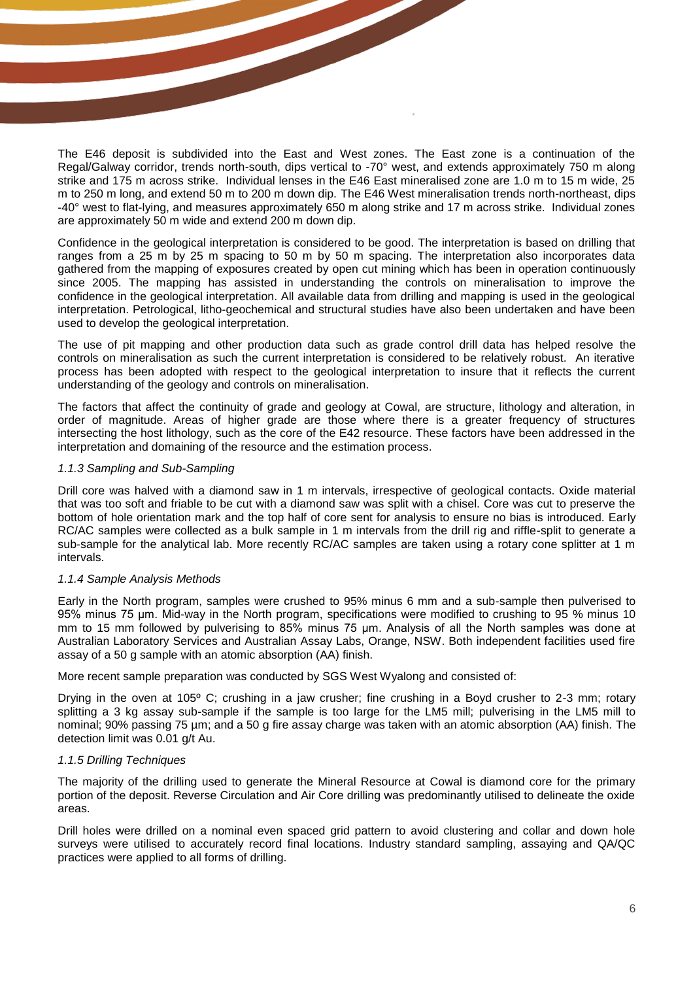The E46 deposit is subdivided into the East and West zones. The East zone is a continuation of the Regal/Galway corridor, trends north-south, dips vertical to -70° west, and extends approximately 750 m along strike and 175 m across strike. Individual lenses in the E46 East mineralised zone are 1.0 m to 15 m wide, 25 m to 250 m long, and extend 50 m to 200 m down dip. The E46 West mineralisation trends north-northeast, dips -40° west to flat-lying, and measures approximately 650 m along strike and 17 m across strike. Individual zones are approximately 50 m wide and extend 200 m down dip.

Confidence in the geological interpretation is considered to be good. The interpretation is based on drilling that ranges from a 25 m by 25 m spacing to 50 m by 50 m spacing. The interpretation also incorporates data gathered from the mapping of exposures created by open cut mining which has been in operation continuously since 2005. The mapping has assisted in understanding the controls on mineralisation to improve the confidence in the geological interpretation. All available data from drilling and mapping is used in the geological interpretation. Petrological, litho-geochemical and structural studies have also been undertaken and have been used to develop the geological interpretation.

The use of pit mapping and other production data such as grade control drill data has helped resolve the controls on mineralisation as such the current interpretation is considered to be relatively robust. An iterative process has been adopted with respect to the geological interpretation to insure that it reflects the current understanding of the geology and controls on mineralisation.

The factors that affect the continuity of grade and geology at Cowal, are structure, lithology and alteration, in order of magnitude. Areas of higher grade are those where there is a greater frequency of structures intersecting the host lithology, such as the core of the E42 resource. These factors have been addressed in the interpretation and domaining of the resource and the estimation process.

#### *1.1.3 Sampling and Sub-Sampling*

Drill core was halved with a diamond saw in 1 m intervals, irrespective of geological contacts. Oxide material that was too soft and friable to be cut with a diamond saw was split with a chisel. Core was cut to preserve the bottom of hole orientation mark and the top half of core sent for analysis to ensure no bias is introduced. Early RC/AC samples were collected as a bulk sample in 1 m intervals from the drill rig and riffle-split to generate a sub-sample for the analytical lab. More recently RC/AC samples are taken using a rotary cone splitter at 1 m intervals.

#### *1.1.4 Sample Analysis Methods*

Early in the North program, samples were crushed to 95% minus 6 mm and a sub-sample then pulverised to 95% minus 75 μm. Mid-way in the North program, specifications were modified to crushing to 95 % minus 10 mm to 15 mm followed by pulverising to 85% minus 75 μm. Analysis of all the North samples was done at Australian Laboratory Services and Australian Assay Labs, Orange, NSW. Both independent facilities used fire assay of a 50 g sample with an atomic absorption (AA) finish.

More recent sample preparation was conducted by SGS West Wyalong and consisted of:

Drying in the oven at 105º C; crushing in a jaw crusher; fine crushing in a Boyd crusher to 2-3 mm; rotary splitting a 3 kg assay sub-sample if the sample is too large for the LM5 mill; pulverising in the LM5 mill to nominal; 90% passing 75 µm; and a 50 g fire assay charge was taken with an atomic absorption (AA) finish. The detection limit was 0.01 g/t Au.

#### *1.1.5 Drilling Techniques*

The majority of the drilling used to generate the Mineral Resource at Cowal is diamond core for the primary portion of the deposit. Reverse Circulation and Air Core drilling was predominantly utilised to delineate the oxide areas.

Drill holes were drilled on a nominal even spaced grid pattern to avoid clustering and collar and down hole surveys were utilised to accurately record final locations. Industry standard sampling, assaying and QA/QC practices were applied to all forms of drilling.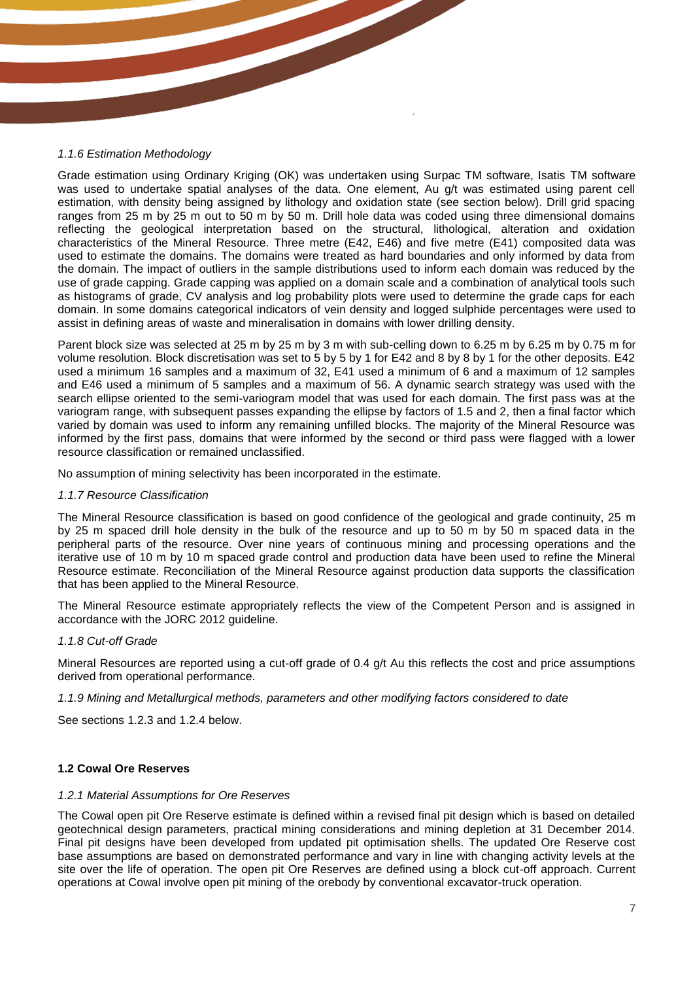#### *1.1.6 Estimation Methodology*

Grade estimation using Ordinary Kriging (OK) was undertaken using Surpac TM software, Isatis TM software was used to undertake spatial analyses of the data. One element, Au g/t was estimated using parent cell estimation, with density being assigned by lithology and oxidation state (see section below). Drill grid spacing ranges from 25 m by 25 m out to 50 m by 50 m. Drill hole data was coded using three dimensional domains reflecting the geological interpretation based on the structural, lithological, alteration and oxidation characteristics of the Mineral Resource. Three metre (E42, E46) and five metre (E41) composited data was used to estimate the domains. The domains were treated as hard boundaries and only informed by data from the domain. The impact of outliers in the sample distributions used to inform each domain was reduced by the use of grade capping. Grade capping was applied on a domain scale and a combination of analytical tools such as histograms of grade, CV analysis and log probability plots were used to determine the grade caps for each domain. In some domains categorical indicators of vein density and logged sulphide percentages were used to assist in defining areas of waste and mineralisation in domains with lower drilling density.

Parent block size was selected at 25 m by 25 m by 3 m with sub-celling down to 6.25 m by 6.25 m by 0.75 m for volume resolution. Block discretisation was set to 5 by 5 by 1 for E42 and 8 by 8 by 1 for the other deposits. E42 used a minimum 16 samples and a maximum of 32, E41 used a minimum of 6 and a maximum of 12 samples and E46 used a minimum of 5 samples and a maximum of 56. A dynamic search strategy was used with the search ellipse oriented to the semi-variogram model that was used for each domain. The first pass was at the variogram range, with subsequent passes expanding the ellipse by factors of 1.5 and 2, then a final factor which varied by domain was used to inform any remaining unfilled blocks. The majority of the Mineral Resource was informed by the first pass, domains that were informed by the second or third pass were flagged with a lower resource classification or remained unclassified.

No assumption of mining selectivity has been incorporated in the estimate.

#### *1.1.7 Resource Classification*

The Mineral Resource classification is based on good confidence of the geological and grade continuity, 25 m by 25 m spaced drill hole density in the bulk of the resource and up to 50 m by 50 m spaced data in the peripheral parts of the resource. Over nine years of continuous mining and processing operations and the iterative use of 10 m by 10 m spaced grade control and production data have been used to refine the Mineral Resource estimate. Reconciliation of the Mineral Resource against production data supports the classification that has been applied to the Mineral Resource.

The Mineral Resource estimate appropriately reflects the view of the Competent Person and is assigned in accordance with the JORC 2012 guideline.

#### *1.1.8 Cut-off Grade*

Mineral Resources are reported using a cut-off grade of 0.4 g/t Au this reflects the cost and price assumptions derived from operational performance.

*1.1.9 Mining and Metallurgical methods, parameters and other modifying factors considered to date* 

See sections 1.2.3 and 1.2.4 below.

#### **1.2 Cowal Ore Reserves**

#### *1.2.1 Material Assumptions for Ore Reserves*

The Cowal open pit Ore Reserve estimate is defined within a revised final pit design which is based on detailed geotechnical design parameters, practical mining considerations and mining depletion at 31 December 2014. Final pit designs have been developed from updated pit optimisation shells. The updated Ore Reserve cost base assumptions are based on demonstrated performance and vary in line with changing activity levels at the site over the life of operation. The open pit Ore Reserves are defined using a block cut-off approach. Current operations at Cowal involve open pit mining of the orebody by conventional excavator-truck operation.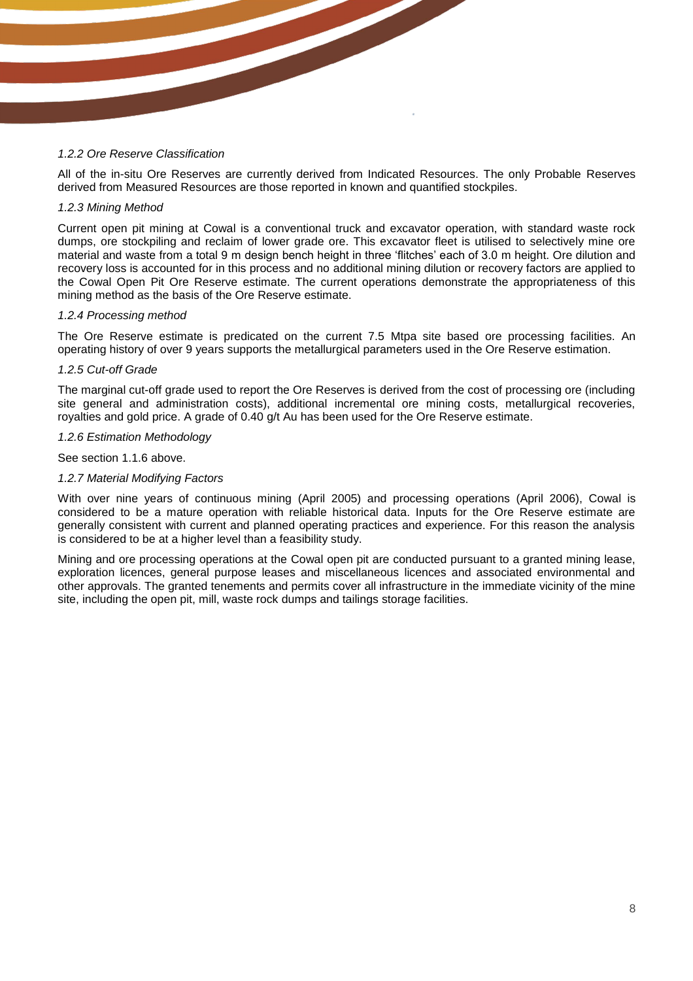#### *1.2.2 Ore Reserve Classification*

All of the in-situ Ore Reserves are currently derived from Indicated Resources. The only Probable Reserves derived from Measured Resources are those reported in known and quantified stockpiles.

#### *1.2.3 Mining Method*

Current open pit mining at Cowal is a conventional truck and excavator operation, with standard waste rock dumps, ore stockpiling and reclaim of lower grade ore. This excavator fleet is utilised to selectively mine ore material and waste from a total 9 m design bench height in three 'flitches' each of 3.0 m height. Ore dilution and recovery loss is accounted for in this process and no additional mining dilution or recovery factors are applied to the Cowal Open Pit Ore Reserve estimate. The current operations demonstrate the appropriateness of this mining method as the basis of the Ore Reserve estimate.

#### *1.2.4 Processing method*

The Ore Reserve estimate is predicated on the current 7.5 Mtpa site based ore processing facilities. An operating history of over 9 years supports the metallurgical parameters used in the Ore Reserve estimation.

#### *1.2.5 Cut-off Grade*

The marginal cut-off grade used to report the Ore Reserves is derived from the cost of processing ore (including site general and administration costs), additional incremental ore mining costs, metallurgical recoveries, royalties and gold price. A grade of 0.40 g/t Au has been used for the Ore Reserve estimate.

#### *1.2.6 Estimation Methodology*

See section 1.1.6 above.

#### *1.2.7 Material Modifying Factors*

With over nine years of continuous mining (April 2005) and processing operations (April 2006), Cowal is considered to be a mature operation with reliable historical data. Inputs for the Ore Reserve estimate are generally consistent with current and planned operating practices and experience. For this reason the analysis is considered to be at a higher level than a feasibility study.

Mining and ore processing operations at the Cowal open pit are conducted pursuant to a granted mining lease, exploration licences, general purpose leases and miscellaneous licences and associated environmental and other approvals. The granted tenements and permits cover all infrastructure in the immediate vicinity of the mine site, including the open pit, mill, waste rock dumps and tailings storage facilities.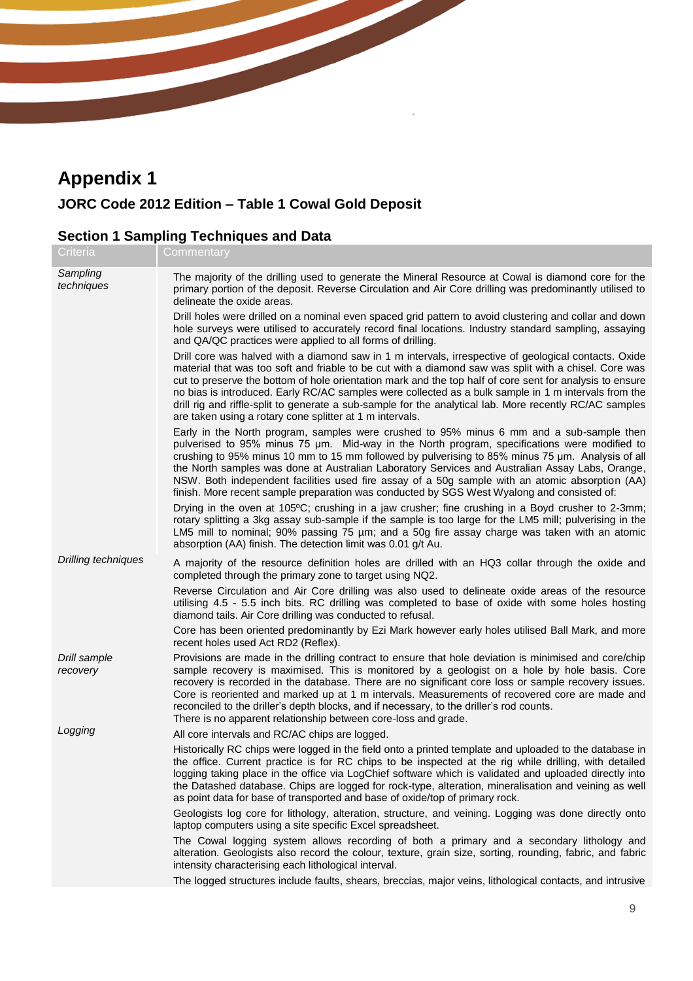# **Appendix 1**

### **JORC Code 2012 Edition – Table 1 Cowal Gold Deposit**

### **Section 1 Sampling Techniques and Data**

| Criteria                   | Commentary                                                                                                                                                                                                                                                                                                                                                                                                                                                                                                                                                                                                |
|----------------------------|-----------------------------------------------------------------------------------------------------------------------------------------------------------------------------------------------------------------------------------------------------------------------------------------------------------------------------------------------------------------------------------------------------------------------------------------------------------------------------------------------------------------------------------------------------------------------------------------------------------|
| Sampling<br>techniques     | The majority of the drilling used to generate the Mineral Resource at Cowal is diamond core for the<br>primary portion of the deposit. Reverse Circulation and Air Core drilling was predominantly utilised to<br>delineate the oxide areas.                                                                                                                                                                                                                                                                                                                                                              |
|                            | Drill holes were drilled on a nominal even spaced grid pattern to avoid clustering and collar and down<br>hole surveys were utilised to accurately record final locations. Industry standard sampling, assaying<br>and QA/QC practices were applied to all forms of drilling.                                                                                                                                                                                                                                                                                                                             |
|                            | Drill core was halved with a diamond saw in 1 m intervals, irrespective of geological contacts. Oxide<br>material that was too soft and friable to be cut with a diamond saw was split with a chisel. Core was<br>cut to preserve the bottom of hole orientation mark and the top half of core sent for analysis to ensure<br>no bias is introduced. Early RC/AC samples were collected as a bulk sample in 1 m intervals from the<br>drill rig and riffle-split to generate a sub-sample for the analytical lab. More recently RC/AC samples<br>are taken using a rotary cone splitter at 1 m intervals. |
|                            | Early in the North program, samples were crushed to 95% minus 6 mm and a sub-sample then<br>pulverised to 95% minus 75 µm. Mid-way in the North program, specifications were modified to<br>crushing to 95% minus 10 mm to 15 mm followed by pulverising to 85% minus 75 µm. Analysis of all<br>the North samples was done at Australian Laboratory Services and Australian Assay Labs, Orange,<br>NSW. Both independent facilities used fire assay of a 50g sample with an atomic absorption (AA)<br>finish. More recent sample preparation was conducted by SGS West Wyalong and consisted of:          |
|                            | Drying in the oven at 105°C; crushing in a jaw crusher; fine crushing in a Boyd crusher to 2-3mm;<br>rotary splitting a 3kg assay sub-sample if the sample is too large for the LM5 mill; pulverising in the<br>LM5 mill to nominal; 90% passing 75 µm; and a 50g fire assay charge was taken with an atomic<br>absorption (AA) finish. The detection limit was 0.01 g/t Au.                                                                                                                                                                                                                              |
| <b>Drilling techniques</b> | A majority of the resource definition holes are drilled with an HQ3 collar through the oxide and<br>completed through the primary zone to target using NQ2.                                                                                                                                                                                                                                                                                                                                                                                                                                               |
|                            | Reverse Circulation and Air Core drilling was also used to delineate oxide areas of the resource<br>utilising 4.5 - 5.5 inch bits. RC drilling was completed to base of oxide with some holes hosting<br>diamond tails. Air Core drilling was conducted to refusal.                                                                                                                                                                                                                                                                                                                                       |
|                            | Core has been oriented predominantly by Ezi Mark however early holes utilised Ball Mark, and more<br>recent holes used Act RD2 (Reflex).                                                                                                                                                                                                                                                                                                                                                                                                                                                                  |
| Drill sample<br>recovery   | Provisions are made in the drilling contract to ensure that hole deviation is minimised and core/chip<br>sample recovery is maximised. This is monitored by a geologist on a hole by hole basis. Core<br>recovery is recorded in the database. There are no significant core loss or sample recovery issues.<br>Core is reoriented and marked up at 1 m intervals. Measurements of recovered core are made and<br>reconciled to the driller's depth blocks, and if necessary, to the driller's rod counts.<br>There is no apparent relationship between core-loss and grade.                              |
| Logging                    | All core intervals and RC/AC chips are logged.                                                                                                                                                                                                                                                                                                                                                                                                                                                                                                                                                            |
|                            | Historically RC chips were logged in the field onto a printed template and uploaded to the database in<br>the office. Current practice is for RC chips to be inspected at the rig while drilling, with detailed<br>logging taking place in the office via LogChief software which is validated and uploaded directly into<br>the Datashed database. Chips are logged for rock-type, alteration, mineralisation and veining as well<br>as point data for base of transported and base of oxide/top of primary rock.                                                                                        |
|                            | Geologists log core for lithology, alteration, structure, and veining. Logging was done directly onto<br>laptop computers using a site specific Excel spreadsheet.                                                                                                                                                                                                                                                                                                                                                                                                                                        |
|                            | The Cowal logging system allows recording of both a primary and a secondary lithology and<br>alteration. Geologists also record the colour, texture, grain size, sorting, rounding, fabric, and fabric<br>intensity characterising each lithological interval.                                                                                                                                                                                                                                                                                                                                            |
|                            | The logged structures include faults, shears, breccias, major veins, lithological contacts, and intrusive                                                                                                                                                                                                                                                                                                                                                                                                                                                                                                 |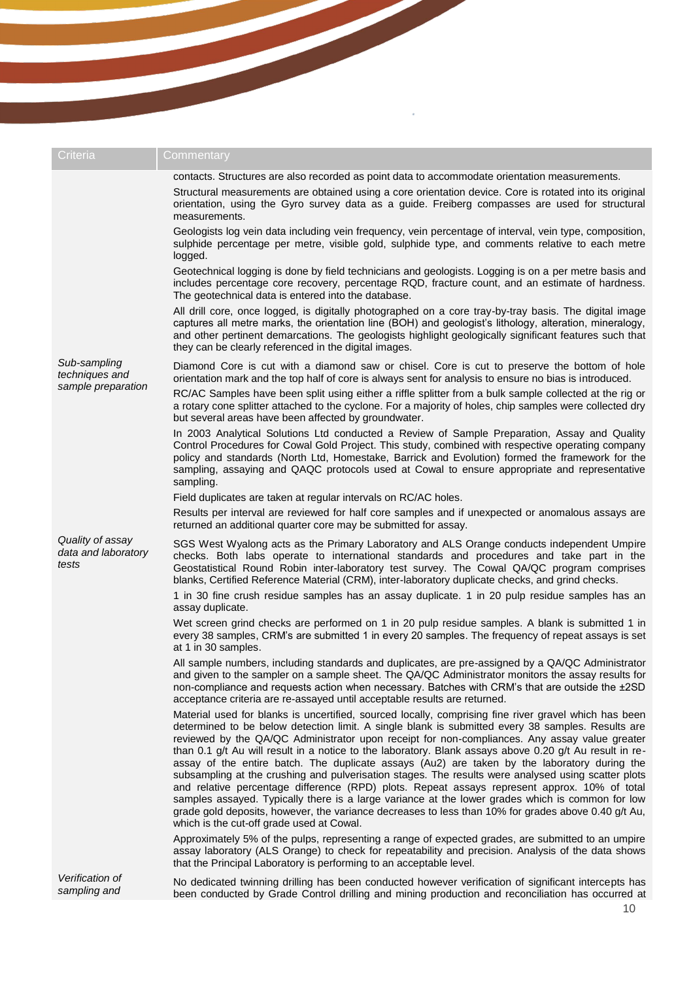| Criteria                                             | Commentary                                                                                                                                                                                                                                                                                                                                                                                                                                                                                                                                                                                                                                                                                                                                                                                                                                                                                                                                                                            |
|------------------------------------------------------|---------------------------------------------------------------------------------------------------------------------------------------------------------------------------------------------------------------------------------------------------------------------------------------------------------------------------------------------------------------------------------------------------------------------------------------------------------------------------------------------------------------------------------------------------------------------------------------------------------------------------------------------------------------------------------------------------------------------------------------------------------------------------------------------------------------------------------------------------------------------------------------------------------------------------------------------------------------------------------------|
|                                                      | contacts. Structures are also recorded as point data to accommodate orientation measurements.                                                                                                                                                                                                                                                                                                                                                                                                                                                                                                                                                                                                                                                                                                                                                                                                                                                                                         |
|                                                      | Structural measurements are obtained using a core orientation device. Core is rotated into its original<br>orientation, using the Gyro survey data as a guide. Freiberg compasses are used for structural<br>measurements.                                                                                                                                                                                                                                                                                                                                                                                                                                                                                                                                                                                                                                                                                                                                                            |
|                                                      | Geologists log vein data including vein frequency, vein percentage of interval, vein type, composition,<br>sulphide percentage per metre, visible gold, sulphide type, and comments relative to each metre<br>logged.                                                                                                                                                                                                                                                                                                                                                                                                                                                                                                                                                                                                                                                                                                                                                                 |
|                                                      | Geotechnical logging is done by field technicians and geologists. Logging is on a per metre basis and<br>includes percentage core recovery, percentage RQD, fracture count, and an estimate of hardness.<br>The geotechnical data is entered into the database.                                                                                                                                                                                                                                                                                                                                                                                                                                                                                                                                                                                                                                                                                                                       |
|                                                      | All drill core, once logged, is digitally photographed on a core tray-by-tray basis. The digital image<br>captures all metre marks, the orientation line (BOH) and geologist's lithology, alteration, mineralogy,<br>and other pertinent demarcations. The geologists highlight geologically significant features such that<br>they can be clearly referenced in the digital images.                                                                                                                                                                                                                                                                                                                                                                                                                                                                                                                                                                                                  |
| Sub-sampling<br>techniques and<br>sample preparation | Diamond Core is cut with a diamond saw or chisel. Core is cut to preserve the bottom of hole<br>orientation mark and the top half of core is always sent for analysis to ensure no bias is introduced.<br>RC/AC Samples have been split using either a riffle splitter from a bulk sample collected at the rig or                                                                                                                                                                                                                                                                                                                                                                                                                                                                                                                                                                                                                                                                     |
|                                                      | a rotary cone splitter attached to the cyclone. For a majority of holes, chip samples were collected dry<br>but several areas have been affected by groundwater.                                                                                                                                                                                                                                                                                                                                                                                                                                                                                                                                                                                                                                                                                                                                                                                                                      |
|                                                      | In 2003 Analytical Solutions Ltd conducted a Review of Sample Preparation, Assay and Quality<br>Control Procedures for Cowal Gold Project. This study, combined with respective operating company<br>policy and standards (North Ltd, Homestake, Barrick and Evolution) formed the framework for the<br>sampling, assaying and QAQC protocols used at Cowal to ensure appropriate and representative<br>sampling.                                                                                                                                                                                                                                                                                                                                                                                                                                                                                                                                                                     |
|                                                      | Field duplicates are taken at regular intervals on RC/AC holes.                                                                                                                                                                                                                                                                                                                                                                                                                                                                                                                                                                                                                                                                                                                                                                                                                                                                                                                       |
|                                                      | Results per interval are reviewed for half core samples and if unexpected or anomalous assays are<br>returned an additional quarter core may be submitted for assay.                                                                                                                                                                                                                                                                                                                                                                                                                                                                                                                                                                                                                                                                                                                                                                                                                  |
| Quality of assay<br>data and laboratory<br>tests     | SGS West Wyalong acts as the Primary Laboratory and ALS Orange conducts independent Umpire<br>checks. Both labs operate to international standards and procedures and take part in the<br>Geostatistical Round Robin inter-laboratory test survey. The Cowal QA/QC program comprises<br>blanks, Certified Reference Material (CRM), inter-laboratory duplicate checks, and grind checks.                                                                                                                                                                                                                                                                                                                                                                                                                                                                                                                                                                                              |
|                                                      | 1 in 30 fine crush residue samples has an assay duplicate. 1 in 20 pulp residue samples has an<br>assay duplicate.                                                                                                                                                                                                                                                                                                                                                                                                                                                                                                                                                                                                                                                                                                                                                                                                                                                                    |
|                                                      | Wet screen grind checks are performed on 1 in 20 pulp residue samples. A blank is submitted 1 in<br>every 38 samples, CRM's are submitted 1 in every 20 samples. The frequency of repeat assays is set<br>at 1 in 30 samples.                                                                                                                                                                                                                                                                                                                                                                                                                                                                                                                                                                                                                                                                                                                                                         |
|                                                      | All sample numbers, including standards and duplicates, are pre-assigned by a QA/QC Administrator<br>and given to the sampler on a sample sheet. The QA/QC Administrator monitors the assay results for<br>non-compliance and requests action when necessary. Batches with CRM's that are outside the ±2SD<br>acceptance criteria are re-assayed until acceptable results are returned.                                                                                                                                                                                                                                                                                                                                                                                                                                                                                                                                                                                               |
|                                                      | Material used for blanks is uncertified, sourced locally, comprising fine river gravel which has been<br>determined to be below detection limit. A single blank is submitted every 38 samples. Results are<br>reviewed by the QA/QC Administrator upon receipt for non-compliances. Any assay value greater<br>than 0.1 g/t Au will result in a notice to the laboratory. Blank assays above 0.20 g/t Au result in re-<br>assay of the entire batch. The duplicate assays (Au2) are taken by the laboratory during the<br>subsampling at the crushing and pulverisation stages. The results were analysed using scatter plots<br>and relative percentage difference (RPD) plots. Repeat assays represent approx. 10% of total<br>samples assayed. Typically there is a large variance at the lower grades which is common for low<br>grade gold deposits, however, the variance decreases to less than 10% for grades above 0.40 g/t Au,<br>which is the cut-off grade used at Cowal. |
|                                                      | Approximately 5% of the pulps, representing a range of expected grades, are submitted to an umpire<br>assay laboratory (ALS Orange) to check for repeatability and precision. Analysis of the data shows<br>that the Principal Laboratory is performing to an acceptable level.                                                                                                                                                                                                                                                                                                                                                                                                                                                                                                                                                                                                                                                                                                       |
| Verification of<br>samnling and                      | No dedicated twinning drilling has been conducted however verification of significant intercepts has                                                                                                                                                                                                                                                                                                                                                                                                                                                                                                                                                                                                                                                                                                                                                                                                                                                                                  |

 $\epsilon$ 

*sampling and*  been conducted by Grade Control drilling and mining production and reconciliation has occurred at No dedicated twinning drilling has been conducted however verification of significant intercepts has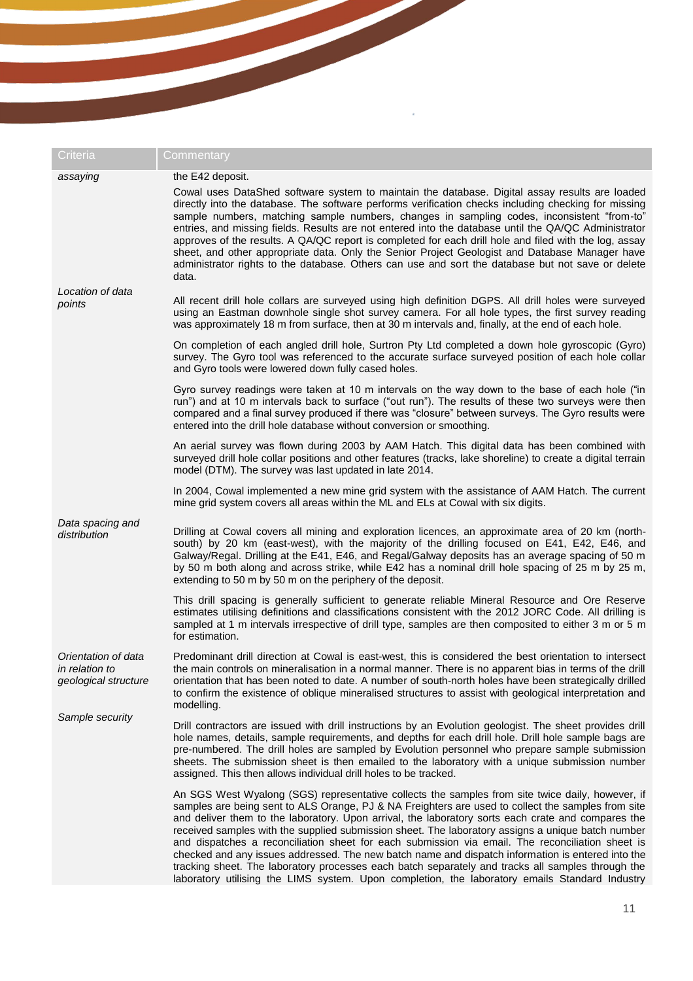| Criteria                                                      | Commentary                                                                                                                                                                                                                                                                                                                                                                                                                                                                                                                                                                                                                                                                                                                                                                                                                        |
|---------------------------------------------------------------|-----------------------------------------------------------------------------------------------------------------------------------------------------------------------------------------------------------------------------------------------------------------------------------------------------------------------------------------------------------------------------------------------------------------------------------------------------------------------------------------------------------------------------------------------------------------------------------------------------------------------------------------------------------------------------------------------------------------------------------------------------------------------------------------------------------------------------------|
| assaying                                                      | the E42 deposit.<br>Cowal uses DataShed software system to maintain the database. Digital assay results are loaded<br>directly into the database. The software performs verification checks including checking for missing<br>sample numbers, matching sample numbers, changes in sampling codes, inconsistent "from-to"<br>entries, and missing fields. Results are not entered into the database until the QA/QC Administrator<br>approves of the results. A QA/QC report is completed for each drill hole and filed with the log, assay<br>sheet, and other appropriate data. Only the Senior Project Geologist and Database Manager have<br>administrator rights to the database. Others can use and sort the database but not save or delete<br>data.                                                                        |
| Location of data<br>points                                    | All recent drill hole collars are surveyed using high definition DGPS. All drill holes were surveyed<br>using an Eastman downhole single shot survey camera. For all hole types, the first survey reading<br>was approximately 18 m from surface, then at 30 m intervals and, finally, at the end of each hole.                                                                                                                                                                                                                                                                                                                                                                                                                                                                                                                   |
|                                                               | On completion of each angled drill hole, Surtron Pty Ltd completed a down hole gyroscopic (Gyro)<br>survey. The Gyro tool was referenced to the accurate surface surveyed position of each hole collar<br>and Gyro tools were lowered down fully cased holes.                                                                                                                                                                                                                                                                                                                                                                                                                                                                                                                                                                     |
|                                                               | Gyro survey readings were taken at 10 m intervals on the way down to the base of each hole ("in<br>run") and at 10 m intervals back to surface ("out run"). The results of these two surveys were then<br>compared and a final survey produced if there was "closure" between surveys. The Gyro results were<br>entered into the drill hole database without conversion or smoothing.                                                                                                                                                                                                                                                                                                                                                                                                                                             |
|                                                               | An aerial survey was flown during 2003 by AAM Hatch. This digital data has been combined with<br>surveyed drill hole collar positions and other features (tracks, lake shoreline) to create a digital terrain<br>model (DTM). The survey was last updated in late 2014.                                                                                                                                                                                                                                                                                                                                                                                                                                                                                                                                                           |
|                                                               | In 2004, Cowal implemented a new mine grid system with the assistance of AAM Hatch. The current<br>mine grid system covers all areas within the ML and ELs at Cowal with six digits.                                                                                                                                                                                                                                                                                                                                                                                                                                                                                                                                                                                                                                              |
| Data spacing and<br>distribution                              | Drilling at Cowal covers all mining and exploration licences, an approximate area of 20 km (north-<br>south) by 20 km (east-west), with the majority of the drilling focused on E41, E42, E46, and<br>Galway/Regal. Drilling at the E41, E46, and Regal/Galway deposits has an average spacing of 50 m<br>by 50 m both along and across strike, while E42 has a nominal drill hole spacing of 25 m by 25 m,<br>extending to 50 m by 50 m on the periphery of the deposit.                                                                                                                                                                                                                                                                                                                                                         |
|                                                               | This drill spacing is generally sufficient to generate reliable Mineral Resource and Ore Reserve<br>estimates utilising definitions and classifications consistent with the 2012 JORC Code. All drilling is<br>sampled at 1 m intervals irrespective of drill type, samples are then composited to either 3 m or 5 m<br>for estimation.                                                                                                                                                                                                                                                                                                                                                                                                                                                                                           |
| Orientation of data<br>in relation to<br>geological structure | Predominant drill direction at Cowal is east-west, this is considered the best orientation to intersect<br>the main controls on mineralisation in a normal manner. There is no apparent bias in terms of the drill<br>orientation that has been noted to date. A number of south-north holes have been strategically drilled<br>to confirm the existence of oblique mineralised structures to assist with geological interpretation and<br>modelling.                                                                                                                                                                                                                                                                                                                                                                             |
| Sample security                                               | Drill contractors are issued with drill instructions by an Evolution geologist. The sheet provides drill<br>hole names, details, sample requirements, and depths for each drill hole. Drill hole sample bags are<br>pre-numbered. The drill holes are sampled by Evolution personnel who prepare sample submission<br>sheets. The submission sheet is then emailed to the laboratory with a unique submission number<br>assigned. This then allows individual drill holes to be tracked.                                                                                                                                                                                                                                                                                                                                          |
|                                                               | An SGS West Wyalong (SGS) representative collects the samples from site twice daily, however, if<br>samples are being sent to ALS Orange, PJ & NA Freighters are used to collect the samples from site<br>and deliver them to the laboratory. Upon arrival, the laboratory sorts each crate and compares the<br>received samples with the supplied submission sheet. The laboratory assigns a unique batch number<br>and dispatches a reconciliation sheet for each submission via email. The reconciliation sheet is<br>checked and any issues addressed. The new batch name and dispatch information is entered into the<br>tracking sheet. The laboratory processes each batch separately and tracks all samples through the<br>laboratory utilising the LIMS system. Upon completion, the laboratory emails Standard Industry |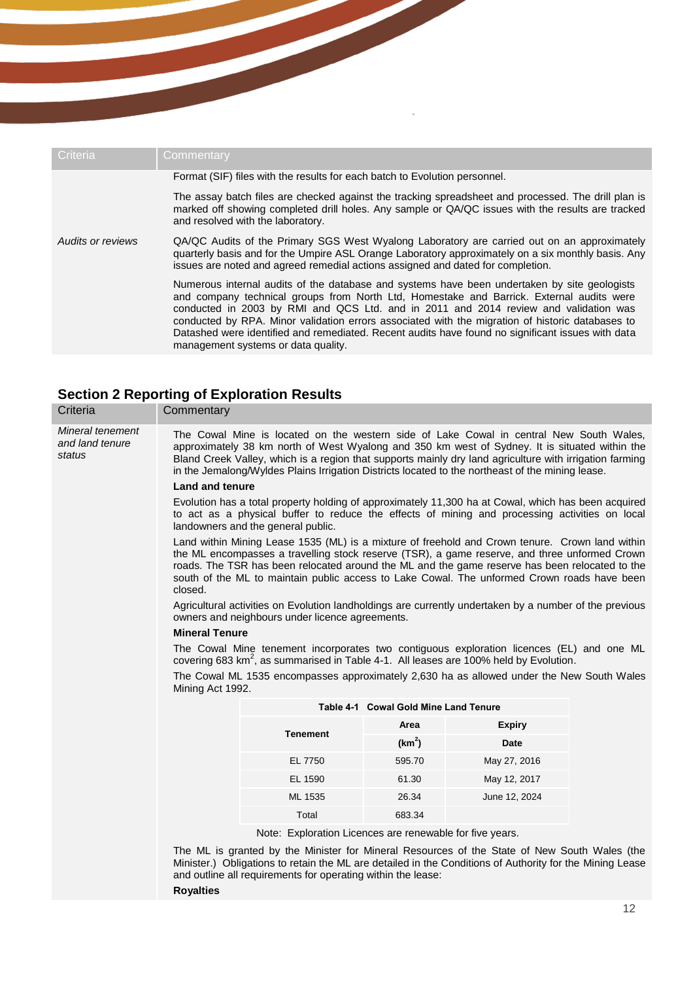| Criteria          | Commentary                                                                                                                                                                                                                                                                                                                                                                                                                                                                                                                       |
|-------------------|----------------------------------------------------------------------------------------------------------------------------------------------------------------------------------------------------------------------------------------------------------------------------------------------------------------------------------------------------------------------------------------------------------------------------------------------------------------------------------------------------------------------------------|
|                   | Format (SIF) files with the results for each batch to Evolution personnel.                                                                                                                                                                                                                                                                                                                                                                                                                                                       |
|                   | The assay batch files are checked against the tracking spreadsheet and processed. The drill plan is<br>marked off showing completed drill holes. Any sample or QA/QC issues with the results are tracked<br>and resolved with the laboratory.                                                                                                                                                                                                                                                                                    |
| Audits or reviews | QA/QC Audits of the Primary SGS West Wyalong Laboratory are carried out on an approximately<br>quarterly basis and for the Umpire ASL Orange Laboratory approximately on a six monthly basis. Any<br>issues are noted and agreed remedial actions assigned and dated for completion.                                                                                                                                                                                                                                             |
|                   | Numerous internal audits of the database and systems have been undertaken by site geologists<br>and company technical groups from North Ltd, Homestake and Barrick. External audits were<br>conducted in 2003 by RMI and QCS Ltd. and in 2011 and 2014 review and validation was<br>conducted by RPA. Minor validation errors associated with the migration of historic databases to<br>Datashed were identified and remediated. Recent audits have found no significant issues with data<br>management systems or data quality. |

# **Section 2 Reporting of Exploration Results**

| Criteria                                      | Commentary                                                                                                                                                                                                                                                                                                                                                                                                   |                                                          |                                       |                                                                                                                                                                                                       |  |  |  |  |
|-----------------------------------------------|--------------------------------------------------------------------------------------------------------------------------------------------------------------------------------------------------------------------------------------------------------------------------------------------------------------------------------------------------------------------------------------------------------------|----------------------------------------------------------|---------------------------------------|-------------------------------------------------------------------------------------------------------------------------------------------------------------------------------------------------------|--|--|--|--|
| Mineral tenement<br>and land tenure<br>status | The Cowal Mine is located on the western side of Lake Cowal in central New South Wales,<br>approximately 38 km north of West Wyalong and 350 km west of Sydney. It is situated within the<br>Bland Creek Valley, which is a region that supports mainly dry land agriculture with irrigation farming<br>in the Jemalong/Wyldes Plains Irrigation Districts located to the northeast of the mining lease.     |                                                          |                                       |                                                                                                                                                                                                       |  |  |  |  |
|                                               | <b>Land and tenure</b>                                                                                                                                                                                                                                                                                                                                                                                       |                                                          |                                       |                                                                                                                                                                                                       |  |  |  |  |
|                                               |                                                                                                                                                                                                                                                                                                                                                                                                              | landowners and the general public.                       |                                       | Evolution has a total property holding of approximately 11,300 ha at Cowal, which has been acquired<br>to act as a physical buffer to reduce the effects of mining and processing activities on local |  |  |  |  |
|                                               | Land within Mining Lease 1535 (ML) is a mixture of freehold and Crown tenure. Crown land within<br>the ML encompasses a travelling stock reserve (TSR), a game reserve, and three unformed Crown<br>roads. The TSR has been relocated around the ML and the game reserve has been relocated to the<br>south of the ML to maintain public access to Lake Cowal. The unformed Crown roads have been<br>closed. |                                                          |                                       |                                                                                                                                                                                                       |  |  |  |  |
|                                               |                                                                                                                                                                                                                                                                                                                                                                                                              | owners and neighbours under licence agreements.          |                                       | Agricultural activities on Evolution landholdings are currently undertaken by a number of the previous                                                                                                |  |  |  |  |
|                                               | <b>Mineral Tenure</b>                                                                                                                                                                                                                                                                                                                                                                                        |                                                          |                                       |                                                                                                                                                                                                       |  |  |  |  |
|                                               |                                                                                                                                                                                                                                                                                                                                                                                                              |                                                          |                                       | The Cowal Mine tenement incorporates two contiguous exploration licences (EL) and one ML<br>covering 683 km <sup>2</sup> , as summarised in Table 4-1. All leases are 100% held by Evolution.         |  |  |  |  |
|                                               | The Cowal ML 1535 encompasses approximately 2,630 ha as allowed under the New South Wales<br>Mining Act 1992.                                                                                                                                                                                                                                                                                                |                                                          |                                       |                                                                                                                                                                                                       |  |  |  |  |
|                                               |                                                                                                                                                                                                                                                                                                                                                                                                              |                                                          | Table 4-1 Cowal Gold Mine Land Tenure |                                                                                                                                                                                                       |  |  |  |  |
|                                               |                                                                                                                                                                                                                                                                                                                                                                                                              | <b>Tenement</b>                                          | Area                                  | <b>Expiry</b>                                                                                                                                                                                         |  |  |  |  |
|                                               |                                                                                                                                                                                                                                                                                                                                                                                                              |                                                          | (km <sup>2</sup> )                    | Date                                                                                                                                                                                                  |  |  |  |  |
|                                               |                                                                                                                                                                                                                                                                                                                                                                                                              | EL 7750                                                  | 595.70                                | May 27, 2016                                                                                                                                                                                          |  |  |  |  |
|                                               |                                                                                                                                                                                                                                                                                                                                                                                                              | EL 1590                                                  | 61.30                                 | May 12, 2017                                                                                                                                                                                          |  |  |  |  |
|                                               |                                                                                                                                                                                                                                                                                                                                                                                                              | ML 1535                                                  | 26.34                                 | June 12, 2024                                                                                                                                                                                         |  |  |  |  |
|                                               |                                                                                                                                                                                                                                                                                                                                                                                                              |                                                          |                                       |                                                                                                                                                                                                       |  |  |  |  |
|                                               |                                                                                                                                                                                                                                                                                                                                                                                                              | Note: Exploration Licences are renewable for five years. |                                       |                                                                                                                                                                                                       |  |  |  |  |
|                                               | The ML is granted by the Minister for Mineral Resources of the State of New South Wales (the<br>Minister.) Obligations to retain the ML are detailed in the Conditions of Authority for the Mining Lease<br>and outline all requirements for operating within the lease:<br><b>Royalties</b>                                                                                                                 |                                                          |                                       |                                                                                                                                                                                                       |  |  |  |  |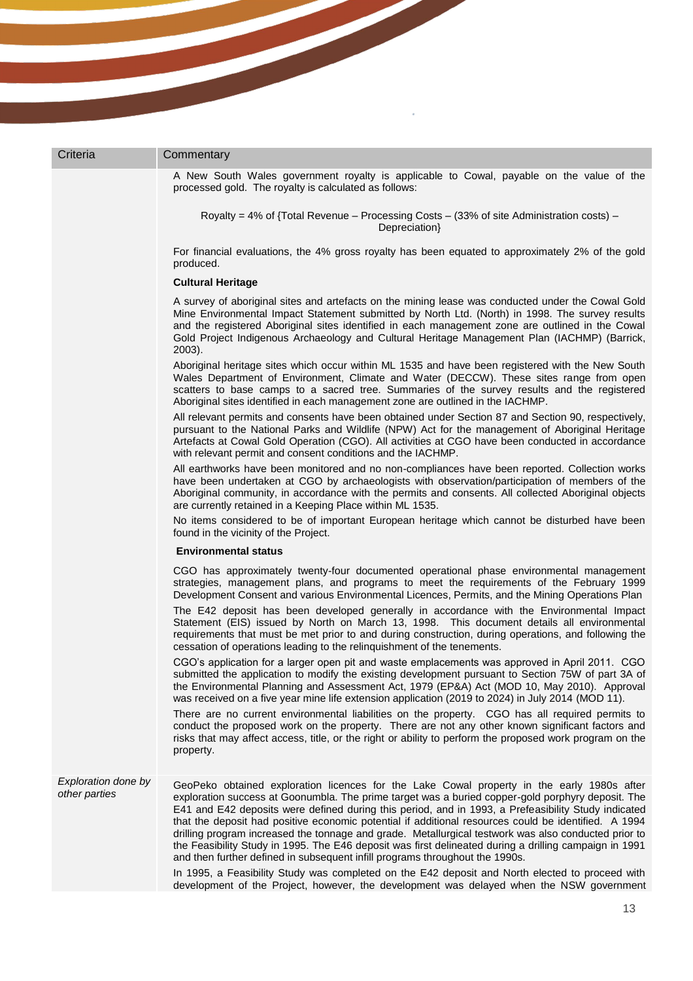| Criteria                             | Commentary                                                                                                                                                                                                                                                                                                                                                                                                                                                                                                                                                                                                                                                                                                       |
|--------------------------------------|------------------------------------------------------------------------------------------------------------------------------------------------------------------------------------------------------------------------------------------------------------------------------------------------------------------------------------------------------------------------------------------------------------------------------------------------------------------------------------------------------------------------------------------------------------------------------------------------------------------------------------------------------------------------------------------------------------------|
|                                      | A New South Wales government royalty is applicable to Cowal, payable on the value of the<br>processed gold. The royalty is calculated as follows:                                                                                                                                                                                                                                                                                                                                                                                                                                                                                                                                                                |
|                                      | Royalty = 4% of {Total Revenue - Processing Costs - (33% of site Administration costs) -<br>Depreciation}                                                                                                                                                                                                                                                                                                                                                                                                                                                                                                                                                                                                        |
|                                      | For financial evaluations, the 4% gross royalty has been equated to approximately 2% of the gold<br>produced.                                                                                                                                                                                                                                                                                                                                                                                                                                                                                                                                                                                                    |
|                                      | <b>Cultural Heritage</b>                                                                                                                                                                                                                                                                                                                                                                                                                                                                                                                                                                                                                                                                                         |
|                                      | A survey of aboriginal sites and artefacts on the mining lease was conducted under the Cowal Gold<br>Mine Environmental Impact Statement submitted by North Ltd. (North) in 1998. The survey results<br>and the registered Aboriginal sites identified in each management zone are outlined in the Cowal<br>Gold Project Indigenous Archaeology and Cultural Heritage Management Plan (IACHMP) (Barrick,<br>2003).                                                                                                                                                                                                                                                                                               |
|                                      | Aboriginal heritage sites which occur within ML 1535 and have been registered with the New South<br>Wales Department of Environment, Climate and Water (DECCW). These sites range from open<br>scatters to base camps to a sacred tree. Summaries of the survey results and the registered<br>Aboriginal sites identified in each management zone are outlined in the IACHMP.                                                                                                                                                                                                                                                                                                                                    |
|                                      | All relevant permits and consents have been obtained under Section 87 and Section 90, respectively,<br>pursuant to the National Parks and Wildlife (NPW) Act for the management of Aboriginal Heritage<br>Artefacts at Cowal Gold Operation (CGO). All activities at CGO have been conducted in accordance<br>with relevant permit and consent conditions and the IACHMP.                                                                                                                                                                                                                                                                                                                                        |
|                                      | All earthworks have been monitored and no non-compliances have been reported. Collection works<br>have been undertaken at CGO by archaeologists with observation/participation of members of the<br>Aboriginal community, in accordance with the permits and consents. All collected Aboriginal objects<br>are currently retained in a Keeping Place within ML 1535.                                                                                                                                                                                                                                                                                                                                             |
|                                      | No items considered to be of important European heritage which cannot be disturbed have been<br>found in the vicinity of the Project.                                                                                                                                                                                                                                                                                                                                                                                                                                                                                                                                                                            |
|                                      | <b>Environmental status</b>                                                                                                                                                                                                                                                                                                                                                                                                                                                                                                                                                                                                                                                                                      |
|                                      | CGO has approximately twenty-four documented operational phase environmental management<br>strategies, management plans, and programs to meet the requirements of the February 1999<br>Development Consent and various Environmental Licences, Permits, and the Mining Operations Plan                                                                                                                                                                                                                                                                                                                                                                                                                           |
|                                      | The E42 deposit has been developed generally in accordance with the Environmental Impact<br>Statement (EIS) issued by North on March 13, 1998. This document details all environmental<br>requirements that must be met prior to and during construction, during operations, and following the<br>cessation of operations leading to the relinquishment of the tenements.                                                                                                                                                                                                                                                                                                                                        |
|                                      | CGO's application for a larger open pit and waste emplacements was approved in April 2011. CGO<br>submitted the application to modify the existing development pursuant to Section 75W of part 3A of<br>the Environmental Planning and Assessment Act, 1979 (EP&A) Act (MOD 10, May 2010). Approval<br>was received on a five year mine life extension application (2019 to 2024) in July 2014 (MOD 11).                                                                                                                                                                                                                                                                                                         |
|                                      | There are no current environmental liabilities on the property. CGO has all required permits to<br>conduct the proposed work on the property. There are not any other known significant factors and<br>risks that may affect access, title, or the right or ability to perform the proposed work program on the<br>property.                                                                                                                                                                                                                                                                                                                                                                                     |
| Exploration done by<br>other parties | GeoPeko obtained exploration licences for the Lake Cowal property in the early 1980s after<br>exploration success at Goonumbla. The prime target was a buried copper-gold porphyry deposit. The<br>E41 and E42 deposits were defined during this period, and in 1993, a Prefeasibility Study indicated<br>that the deposit had positive economic potential if additional resources could be identified. A 1994<br>drilling program increased the tonnage and grade. Metallurgical testwork was also conducted prior to<br>the Feasibility Study in 1995. The E46 deposit was first delineated during a drilling campaign in 1991<br>and then further defined in subsequent infill programs throughout the 1990s. |
|                                      | In 1995, a Feasibility Study was completed on the E42 deposit and North elected to proceed with<br>development of the Project, however, the development was delayed when the NSW government                                                                                                                                                                                                                                                                                                                                                                                                                                                                                                                      |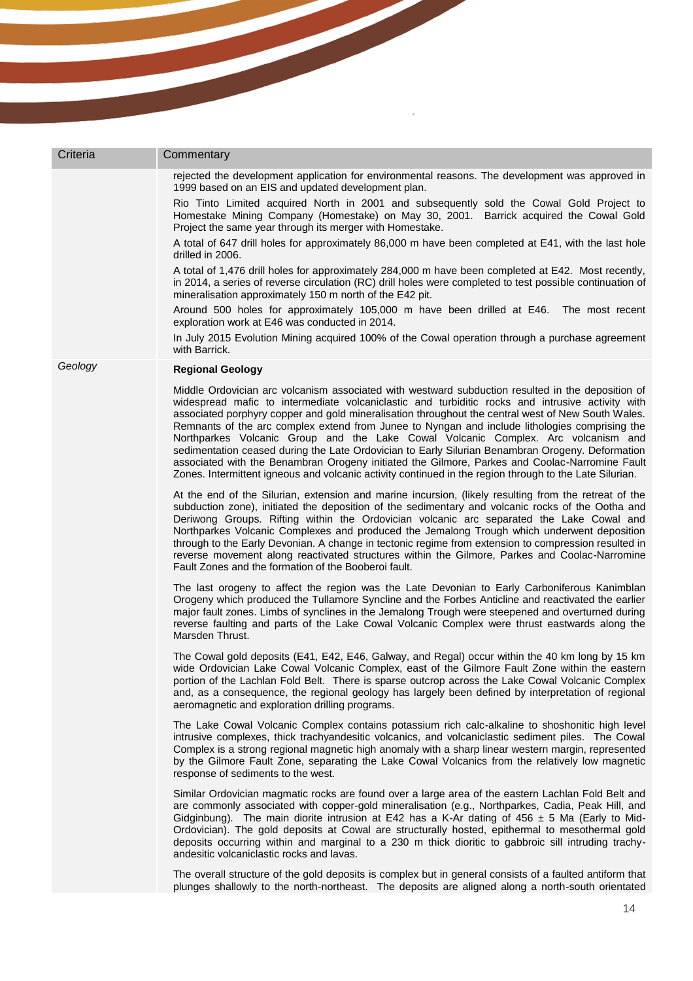| Criteria | Commentary                                                                                                                                                                                                                                                                                                                                                                                                                                                                                                                                                                                                                                                                                                                                                                                                          |
|----------|---------------------------------------------------------------------------------------------------------------------------------------------------------------------------------------------------------------------------------------------------------------------------------------------------------------------------------------------------------------------------------------------------------------------------------------------------------------------------------------------------------------------------------------------------------------------------------------------------------------------------------------------------------------------------------------------------------------------------------------------------------------------------------------------------------------------|
|          | rejected the development application for environmental reasons. The development was approved in<br>1999 based on an EIS and updated development plan.                                                                                                                                                                                                                                                                                                                                                                                                                                                                                                                                                                                                                                                               |
|          | Rio Tinto Limited acquired North in 2001 and subsequently sold the Cowal Gold Project to<br>Homestake Mining Company (Homestake) on May 30, 2001. Barrick acquired the Cowal Gold<br>Project the same year through its merger with Homestake.                                                                                                                                                                                                                                                                                                                                                                                                                                                                                                                                                                       |
|          | A total of 647 drill holes for approximately 86,000 m have been completed at E41, with the last hole<br>drilled in 2006.                                                                                                                                                                                                                                                                                                                                                                                                                                                                                                                                                                                                                                                                                            |
|          | A total of 1,476 drill holes for approximately 284,000 m have been completed at E42. Most recently,<br>in 2014, a series of reverse circulation (RC) drill holes were completed to test possible continuation of<br>mineralisation approximately 150 m north of the E42 pit.                                                                                                                                                                                                                                                                                                                                                                                                                                                                                                                                        |
|          | Around 500 holes for approximately 105,000 m have been drilled at E46. The most recent<br>exploration work at E46 was conducted in 2014.                                                                                                                                                                                                                                                                                                                                                                                                                                                                                                                                                                                                                                                                            |
|          | In July 2015 Evolution Mining acquired 100% of the Cowal operation through a purchase agreement<br>with Barrick.                                                                                                                                                                                                                                                                                                                                                                                                                                                                                                                                                                                                                                                                                                    |
| Geology  | <b>Regional Geology</b>                                                                                                                                                                                                                                                                                                                                                                                                                                                                                                                                                                                                                                                                                                                                                                                             |
|          | Middle Ordovician arc volcanism associated with westward subduction resulted in the deposition of<br>widespread mafic to intermediate volcaniclastic and turbiditic rocks and intrusive activity with<br>associated porphyry copper and gold mineralisation throughout the central west of New South Wales.<br>Remnants of the arc complex extend from Junee to Nyngan and include lithologies comprising the<br>Northparkes Volcanic Group and the Lake Cowal Volcanic Complex. Arc volcanism and<br>sedimentation ceased during the Late Ordovician to Early Silurian Benambran Orogeny. Deformation<br>associated with the Benambran Orogeny initiated the Gilmore, Parkes and Coolac-Narromine Fault<br>Zones. Intermittent igneous and volcanic activity continued in the region through to the Late Silurian. |
|          | At the end of the Silurian, extension and marine incursion, (likely resulting from the retreat of the<br>subduction zone), initiated the deposition of the sedimentary and volcanic rocks of the Ootha and<br>Deriwong Groups. Rifting within the Ordovician volcanic arc separated the Lake Cowal and<br>Northparkes Volcanic Complexes and produced the Jemalong Trough which underwent deposition<br>through to the Early Devonian. A change in tectonic regime from extension to compression resulted in<br>reverse movement along reactivated structures within the Gilmore, Parkes and Coolac-Narromine<br>Fault Zones and the formation of the Booberoi fault.                                                                                                                                               |
|          | The last orogeny to affect the region was the Late Devonian to Early Carboniferous Kanimblan<br>Orogeny which produced the Tullamore Syncline and the Forbes Anticline and reactivated the earlier<br>major fault zones. Limbs of synclines in the Jemalong Trough were steepened and overturned during<br>reverse faulting and parts of the Lake Cowal Volcanic Complex were thrust eastwards along the<br>Marsden Thrust.                                                                                                                                                                                                                                                                                                                                                                                         |
|          | The Cowal gold deposits (E41, E42, E46, Galway, and Regal) occur within the 40 km long by 15 km<br>wide Ordovician Lake Cowal Volcanic Complex, east of the Gilmore Fault Zone within the eastern<br>portion of the Lachlan Fold Belt. There is sparse outcrop across the Lake Cowal Volcanic Complex<br>and, as a consequence, the regional geology has largely been defined by interpretation of regional<br>aeromagnetic and exploration drilling programs.                                                                                                                                                                                                                                                                                                                                                      |
|          | The Lake Cowal Volcanic Complex contains potassium rich calc-alkaline to shoshonitic high level<br>intrusive complexes, thick trachyandesitic volcanics, and volcaniclastic sediment piles. The Cowal<br>Complex is a strong regional magnetic high anomaly with a sharp linear western margin, represented<br>by the Gilmore Fault Zone, separating the Lake Cowal Volcanics from the relatively low magnetic<br>response of sediments to the west.                                                                                                                                                                                                                                                                                                                                                                |
|          | Similar Ordovician magmatic rocks are found over a large area of the eastern Lachlan Fold Belt and<br>are commonly associated with copper-gold mineralisation (e.g., Northparkes, Cadia, Peak Hill, and<br>Gidginbung). The main diorite intrusion at E42 has a K-Ar dating of 456 $\pm$ 5 Ma (Early to Mid-<br>Ordovician). The gold deposits at Cowal are structurally hosted, epithermal to mesothermal gold<br>deposits occurring within and marginal to a 230 m thick dioritic to gabbroic sill intruding trachy-<br>andesitic volcaniclastic rocks and lavas.                                                                                                                                                                                                                                                 |
|          | The overall structure of the gold deposits is complex but in general consists of a faulted antiform that<br>plunges shallowly to the north-northeast. The deposits are aligned along a north-south orientated                                                                                                                                                                                                                                                                                                                                                                                                                                                                                                                                                                                                       |
|          | 14                                                                                                                                                                                                                                                                                                                                                                                                                                                                                                                                                                                                                                                                                                                                                                                                                  |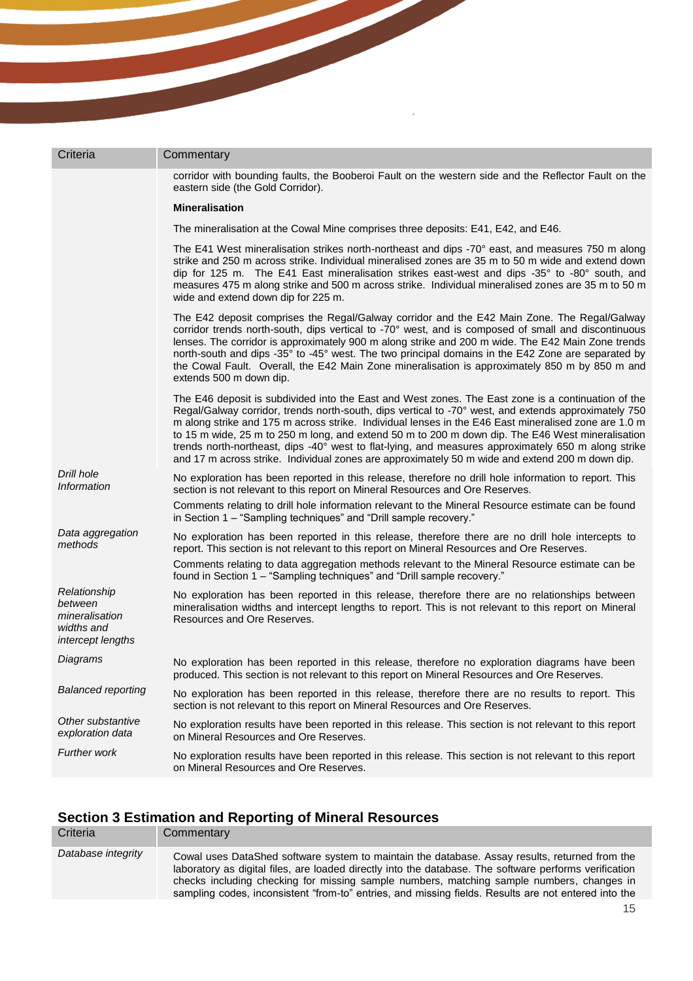| Criteria                                                                     | Commentary                                                                                                                                                                                                                                                                                                                                                                                                                                                                                                                                                                                                                       |
|------------------------------------------------------------------------------|----------------------------------------------------------------------------------------------------------------------------------------------------------------------------------------------------------------------------------------------------------------------------------------------------------------------------------------------------------------------------------------------------------------------------------------------------------------------------------------------------------------------------------------------------------------------------------------------------------------------------------|
|                                                                              | corridor with bounding faults, the Booberoi Fault on the western side and the Reflector Fault on the<br>eastern side (the Gold Corridor).                                                                                                                                                                                                                                                                                                                                                                                                                                                                                        |
|                                                                              | <b>Mineralisation</b>                                                                                                                                                                                                                                                                                                                                                                                                                                                                                                                                                                                                            |
|                                                                              | The mineralisation at the Cowal Mine comprises three deposits: E41, E42, and E46.                                                                                                                                                                                                                                                                                                                                                                                                                                                                                                                                                |
|                                                                              | The E41 West mineralisation strikes north-northeast and dips -70° east, and measures 750 m along<br>strike and 250 m across strike. Individual mineralised zones are 35 m to 50 m wide and extend down<br>dip for 125 m. The E41 East mineralisation strikes east-west and dips -35° to -80° south, and<br>measures 475 m along strike and 500 m across strike. Individual mineralised zones are 35 m to 50 m<br>wide and extend down dip for 225 m.                                                                                                                                                                             |
|                                                                              | The E42 deposit comprises the Regal/Galway corridor and the E42 Main Zone. The Regal/Galway<br>corridor trends north-south, dips vertical to -70° west, and is composed of small and discontinuous<br>lenses. The corridor is approximately 900 m along strike and 200 m wide. The E42 Main Zone trends<br>north-south and dips -35° to -45° west. The two principal domains in the E42 Zone are separated by<br>the Cowal Fault. Overall, the E42 Main Zone mineralisation is approximately 850 m by 850 m and<br>extends 500 m down dip.                                                                                       |
|                                                                              | The E46 deposit is subdivided into the East and West zones. The East zone is a continuation of the<br>Regal/Galway corridor, trends north-south, dips vertical to -70° west, and extends approximately 750<br>m along strike and 175 m across strike. Individual lenses in the E46 East mineralised zone are 1.0 m<br>to 15 m wide, 25 m to 250 m long, and extend 50 m to 200 m down dip. The E46 West mineralisation<br>trends north-northeast, dips -40° west to flat-lying, and measures approximately 650 m along strike<br>and 17 m across strike. Individual zones are approximately 50 m wide and extend 200 m down dip. |
| Drill hole<br><b>Information</b>                                             | No exploration has been reported in this release, therefore no drill hole information to report. This<br>section is not relevant to this report on Mineral Resources and Ore Reserves.                                                                                                                                                                                                                                                                                                                                                                                                                                           |
|                                                                              | Comments relating to drill hole information relevant to the Mineral Resource estimate can be found<br>in Section 1 - "Sampling techniques" and "Drill sample recovery."                                                                                                                                                                                                                                                                                                                                                                                                                                                          |
| Data aggregation<br>methods                                                  | No exploration has been reported in this release, therefore there are no drill hole intercepts to<br>report. This section is not relevant to this report on Mineral Resources and Ore Reserves.                                                                                                                                                                                                                                                                                                                                                                                                                                  |
|                                                                              | Comments relating to data aggregation methods relevant to the Mineral Resource estimate can be<br>found in Section 1 - "Sampling techniques" and "Drill sample recovery."                                                                                                                                                                                                                                                                                                                                                                                                                                                        |
| Relationship<br>between<br>mineralisation<br>widths and<br>intercept lengths | No exploration has been reported in this release, therefore there are no relationships between<br>mineralisation widths and intercept lengths to report. This is not relevant to this report on Mineral<br>Resources and Ore Reserves.                                                                                                                                                                                                                                                                                                                                                                                           |
| Diagrams                                                                     | No exploration has been reported in this release, therefore no exploration diagrams have been<br>produced. This section is not relevant to this report on Mineral Resources and Ore Reserves.                                                                                                                                                                                                                                                                                                                                                                                                                                    |
| <b>Balanced reporting</b>                                                    | No exploration has been reported in this release, therefore there are no results to report. This<br>section is not relevant to this report on Mineral Resources and Ore Reserves.                                                                                                                                                                                                                                                                                                                                                                                                                                                |
| Other substantive<br>exploration data                                        | No exploration results have been reported in this release. This section is not relevant to this report<br>on Mineral Resources and Ore Reserves.                                                                                                                                                                                                                                                                                                                                                                                                                                                                                 |
| Further work                                                                 | No exploration results have been reported in this release. This section is not relevant to this report<br>on Mineral Resources and Ore Reserves.                                                                                                                                                                                                                                                                                                                                                                                                                                                                                 |

### **Section 3 Estimation and Reporting of Mineral Resources**

| Criteria           | Commentary                                                                                                                                                                                                                                                                                                                                                                                                    |
|--------------------|---------------------------------------------------------------------------------------------------------------------------------------------------------------------------------------------------------------------------------------------------------------------------------------------------------------------------------------------------------------------------------------------------------------|
| Database integrity | Cowal uses DataShed software system to maintain the database. Assay results, returned from the<br>laboratory as digital files, are loaded directly into the database. The software performs verification<br>checks including checking for missing sample numbers, matching sample numbers, changes in<br>sampling codes, inconsistent "from-to" entries, and missing fields. Results are not entered into the |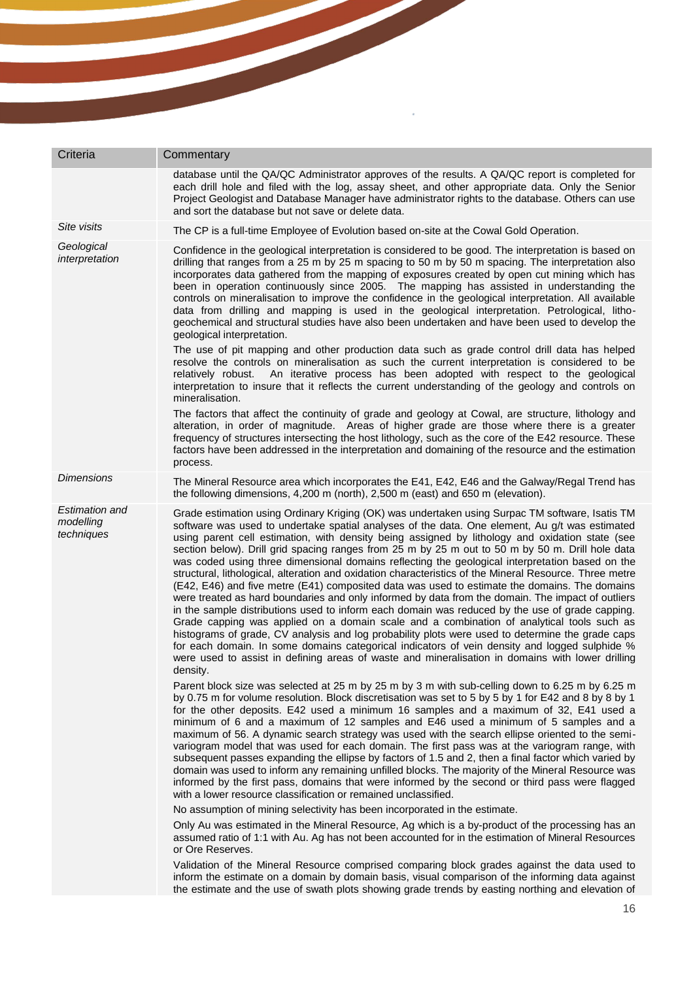| Criteria                                         | Commentary                                                                                                                                                                                                                                                                                                                                                                                                                                                                                                                                                                                                                                                                                                                                                                                                                                                                                                                                                                                                                                                                                                                                                                                                                                                                                                                                        |
|--------------------------------------------------|---------------------------------------------------------------------------------------------------------------------------------------------------------------------------------------------------------------------------------------------------------------------------------------------------------------------------------------------------------------------------------------------------------------------------------------------------------------------------------------------------------------------------------------------------------------------------------------------------------------------------------------------------------------------------------------------------------------------------------------------------------------------------------------------------------------------------------------------------------------------------------------------------------------------------------------------------------------------------------------------------------------------------------------------------------------------------------------------------------------------------------------------------------------------------------------------------------------------------------------------------------------------------------------------------------------------------------------------------|
|                                                  | database until the QA/QC Administrator approves of the results. A QA/QC report is completed for<br>each drill hole and filed with the log, assay sheet, and other appropriate data. Only the Senior<br>Project Geologist and Database Manager have administrator rights to the database. Others can use<br>and sort the database but not save or delete data.                                                                                                                                                                                                                                                                                                                                                                                                                                                                                                                                                                                                                                                                                                                                                                                                                                                                                                                                                                                     |
| Site visits                                      | The CP is a full-time Employee of Evolution based on-site at the Cowal Gold Operation.                                                                                                                                                                                                                                                                                                                                                                                                                                                                                                                                                                                                                                                                                                                                                                                                                                                                                                                                                                                                                                                                                                                                                                                                                                                            |
| Geological<br>interpretation                     | Confidence in the geological interpretation is considered to be good. The interpretation is based on<br>drilling that ranges from a 25 m by 25 m spacing to 50 m by 50 m spacing. The interpretation also<br>incorporates data gathered from the mapping of exposures created by open cut mining which has<br>been in operation continuously since 2005. The mapping has assisted in understanding the<br>controls on mineralisation to improve the confidence in the geological interpretation. All available<br>data from drilling and mapping is used in the geological interpretation. Petrological, litho-<br>geochemical and structural studies have also been undertaken and have been used to develop the<br>geological interpretation.                                                                                                                                                                                                                                                                                                                                                                                                                                                                                                                                                                                                   |
|                                                  | The use of pit mapping and other production data such as grade control drill data has helped<br>resolve the controls on mineralisation as such the current interpretation is considered to be<br>An iterative process has been adopted with respect to the geological<br>relatively robust.<br>interpretation to insure that it reflects the current understanding of the geology and controls on<br>mineralisation.                                                                                                                                                                                                                                                                                                                                                                                                                                                                                                                                                                                                                                                                                                                                                                                                                                                                                                                              |
|                                                  | The factors that affect the continuity of grade and geology at Cowal, are structure, lithology and<br>alteration, in order of magnitude. Areas of higher grade are those where there is a greater<br>frequency of structures intersecting the host lithology, such as the core of the E42 resource. These<br>factors have been addressed in the interpretation and domaining of the resource and the estimation<br>process.                                                                                                                                                                                                                                                                                                                                                                                                                                                                                                                                                                                                                                                                                                                                                                                                                                                                                                                       |
| <b>Dimensions</b>                                | The Mineral Resource area which incorporates the E41, E42, E46 and the Galway/Regal Trend has<br>the following dimensions, 4,200 m (north), 2,500 m (east) and 650 m (elevation).                                                                                                                                                                                                                                                                                                                                                                                                                                                                                                                                                                                                                                                                                                                                                                                                                                                                                                                                                                                                                                                                                                                                                                 |
| <b>Estimation and</b><br>modelling<br>techniques | Grade estimation using Ordinary Kriging (OK) was undertaken using Surpac TM software, Isatis TM<br>software was used to undertake spatial analyses of the data. One element, Au g/t was estimated<br>using parent cell estimation, with density being assigned by lithology and oxidation state (see<br>section below). Drill grid spacing ranges from 25 m by 25 m out to 50 m by 50 m. Drill hole data<br>was coded using three dimensional domains reflecting the geological interpretation based on the<br>structural, lithological, alteration and oxidation characteristics of the Mineral Resource. Three metre<br>(E42, E46) and five metre (E41) composited data was used to estimate the domains. The domains<br>were treated as hard boundaries and only informed by data from the domain. The impact of outliers<br>in the sample distributions used to inform each domain was reduced by the use of grade capping.<br>Grade capping was applied on a domain scale and a combination of analytical tools such as<br>histograms of grade, CV analysis and log probability plots were used to determine the grade caps<br>for each domain. In some domains categorical indicators of vein density and logged sulphide %<br>were used to assist in defining areas of waste and mineralisation in domains with lower drilling<br>density. |
|                                                  | Parent block size was selected at 25 m by 25 m by 3 m with sub-celling down to 6.25 m by 6.25 m<br>by 0.75 m for volume resolution. Block discretisation was set to 5 by 5 by 1 for E42 and 8 by 8 by 1<br>for the other deposits. E42 used a minimum 16 samples and a maximum of 32, E41 used a<br>minimum of 6 and a maximum of 12 samples and E46 used a minimum of 5 samples and a<br>maximum of 56. A dynamic search strategy was used with the search ellipse oriented to the semi-<br>variogram model that was used for each domain. The first pass was at the variogram range, with<br>subsequent passes expanding the ellipse by factors of 1.5 and 2, then a final factor which varied by<br>domain was used to inform any remaining unfilled blocks. The majority of the Mineral Resource was<br>informed by the first pass, domains that were informed by the second or third pass were flagged<br>with a lower resource classification or remained unclassified.                                                                                                                                                                                                                                                                                                                                                                     |
|                                                  | No assumption of mining selectivity has been incorporated in the estimate.                                                                                                                                                                                                                                                                                                                                                                                                                                                                                                                                                                                                                                                                                                                                                                                                                                                                                                                                                                                                                                                                                                                                                                                                                                                                        |
|                                                  | Only Au was estimated in the Mineral Resource, Ag which is a by-product of the processing has an<br>assumed ratio of 1:1 with Au. Ag has not been accounted for in the estimation of Mineral Resources<br>or Ore Reserves.                                                                                                                                                                                                                                                                                                                                                                                                                                                                                                                                                                                                                                                                                                                                                                                                                                                                                                                                                                                                                                                                                                                        |
|                                                  | Validation of the Mineral Resource comprised comparing block grades against the data used to<br>inform the estimate on a domain by domain basis, visual comparison of the informing data against<br>the estimate and the use of swath plots showing grade trends by easting northing and elevation of                                                                                                                                                                                                                                                                                                                                                                                                                                                                                                                                                                                                                                                                                                                                                                                                                                                                                                                                                                                                                                             |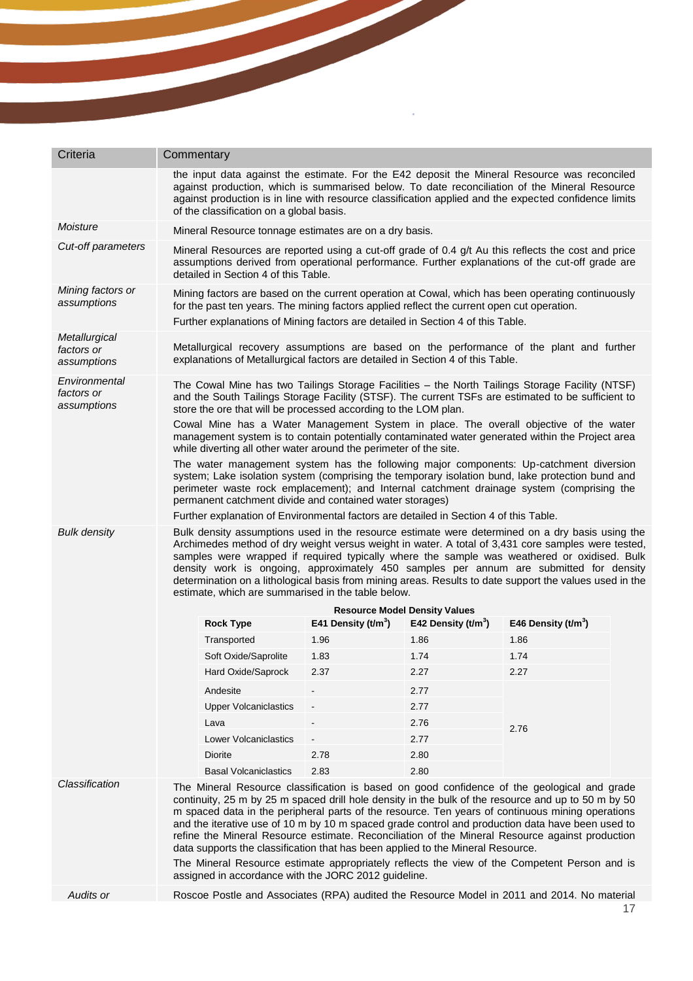| Criteria                                                                                                                                                                                                                                                                                                                                                                                                                                                                                                                                                                               | Commentary                                                                                                                                                                                                                                                                                                                                                                                                                                                                                                                                                                                                                                                                                                                                               |                                      |                       |                       |  |
|----------------------------------------------------------------------------------------------------------------------------------------------------------------------------------------------------------------------------------------------------------------------------------------------------------------------------------------------------------------------------------------------------------------------------------------------------------------------------------------------------------------------------------------------------------------------------------------|----------------------------------------------------------------------------------------------------------------------------------------------------------------------------------------------------------------------------------------------------------------------------------------------------------------------------------------------------------------------------------------------------------------------------------------------------------------------------------------------------------------------------------------------------------------------------------------------------------------------------------------------------------------------------------------------------------------------------------------------------------|--------------------------------------|-----------------------|-----------------------|--|
|                                                                                                                                                                                                                                                                                                                                                                                                                                                                                                                                                                                        | the input data against the estimate. For the E42 deposit the Mineral Resource was reconciled<br>against production, which is summarised below. To date reconciliation of the Mineral Resource<br>against production is in line with resource classification applied and the expected confidence limits<br>of the classification on a global basis.                                                                                                                                                                                                                                                                                                                                                                                                       |                                      |                       |                       |  |
| Moisture                                                                                                                                                                                                                                                                                                                                                                                                                                                                                                                                                                               | Mineral Resource tonnage estimates are on a dry basis.                                                                                                                                                                                                                                                                                                                                                                                                                                                                                                                                                                                                                                                                                                   |                                      |                       |                       |  |
| Cut-off parameters                                                                                                                                                                                                                                                                                                                                                                                                                                                                                                                                                                     | Mineral Resources are reported using a cut-off grade of 0.4 g/t Au this reflects the cost and price<br>assumptions derived from operational performance. Further explanations of the cut-off grade are<br>detailed in Section 4 of this Table.                                                                                                                                                                                                                                                                                                                                                                                                                                                                                                           |                                      |                       |                       |  |
| Mining factors or<br>assumptions                                                                                                                                                                                                                                                                                                                                                                                                                                                                                                                                                       | Mining factors are based on the current operation at Cowal, which has been operating continuously<br>for the past ten years. The mining factors applied reflect the current open cut operation.<br>Further explanations of Mining factors are detailed in Section 4 of this Table.                                                                                                                                                                                                                                                                                                                                                                                                                                                                       |                                      |                       |                       |  |
| Metallurgical<br>factors or<br>assumptions                                                                                                                                                                                                                                                                                                                                                                                                                                                                                                                                             | Metallurgical recovery assumptions are based on the performance of the plant and further<br>explanations of Metallurgical factors are detailed in Section 4 of this Table.                                                                                                                                                                                                                                                                                                                                                                                                                                                                                                                                                                               |                                      |                       |                       |  |
| Environmental<br>factors or<br>assumptions                                                                                                                                                                                                                                                                                                                                                                                                                                                                                                                                             | The Cowal Mine has two Tailings Storage Facilities – the North Tailings Storage Facility (NTSF)<br>and the South Tailings Storage Facility (STSF). The current TSFs are estimated to be sufficient to<br>store the ore that will be processed according to the LOM plan.                                                                                                                                                                                                                                                                                                                                                                                                                                                                                 |                                      |                       |                       |  |
|                                                                                                                                                                                                                                                                                                                                                                                                                                                                                                                                                                                        | Cowal Mine has a Water Management System in place. The overall objective of the water<br>management system is to contain potentially contaminated water generated within the Project area<br>while diverting all other water around the perimeter of the site.                                                                                                                                                                                                                                                                                                                                                                                                                                                                                           |                                      |                       |                       |  |
|                                                                                                                                                                                                                                                                                                                                                                                                                                                                                                                                                                                        | The water management system has the following major components: Up-catchment diversion<br>system; Lake isolation system (comprising the temporary isolation bund, lake protection bund and<br>perimeter waste rock emplacement); and Internal catchment drainage system (comprising the<br>permanent catchment divide and contained water storages)                                                                                                                                                                                                                                                                                                                                                                                                      |                                      |                       |                       |  |
|                                                                                                                                                                                                                                                                                                                                                                                                                                                                                                                                                                                        | Further explanation of Environmental factors are detailed in Section 4 of this Table.                                                                                                                                                                                                                                                                                                                                                                                                                                                                                                                                                                                                                                                                    |                                      |                       |                       |  |
| <b>Bulk density</b><br>Bulk density assumptions used in the resource estimate were determined on a dry basis using the<br>Archimedes method of dry weight versus weight in water. A total of 3,431 core samples were tested,<br>samples were wrapped if required typically where the sample was weathered or oxidised. Bulk<br>density work is ongoing, approximately 450 samples per annum are submitted for density<br>determination on a lithological basis from mining areas. Results to date support the values used in the<br>estimate, which are summarised in the table below. |                                                                                                                                                                                                                                                                                                                                                                                                                                                                                                                                                                                                                                                                                                                                                          |                                      |                       |                       |  |
|                                                                                                                                                                                                                                                                                                                                                                                                                                                                                                                                                                                        |                                                                                                                                                                                                                                                                                                                                                                                                                                                                                                                                                                                                                                                                                                                                                          | <b>Resource Model Density Values</b> |                       |                       |  |
|                                                                                                                                                                                                                                                                                                                                                                                                                                                                                                                                                                                        | <b>Rock Type</b>                                                                                                                                                                                                                                                                                                                                                                                                                                                                                                                                                                                                                                                                                                                                         | E41 Density $(t/m^3)$                | E42 Density $(t/m^3)$ | E46 Density $(t/m^3)$ |  |
|                                                                                                                                                                                                                                                                                                                                                                                                                                                                                                                                                                                        | Transported                                                                                                                                                                                                                                                                                                                                                                                                                                                                                                                                                                                                                                                                                                                                              | 1.96                                 | 1.86                  | 1.86                  |  |
|                                                                                                                                                                                                                                                                                                                                                                                                                                                                                                                                                                                        | Soft Oxide/Saprolite                                                                                                                                                                                                                                                                                                                                                                                                                                                                                                                                                                                                                                                                                                                                     | 1.83                                 | 1.74                  | 1.74                  |  |
|                                                                                                                                                                                                                                                                                                                                                                                                                                                                                                                                                                                        | Hard Oxide/Saprock                                                                                                                                                                                                                                                                                                                                                                                                                                                                                                                                                                                                                                                                                                                                       | 2.37                                 | 2.27                  | 2.27                  |  |
|                                                                                                                                                                                                                                                                                                                                                                                                                                                                                                                                                                                        | Andesite                                                                                                                                                                                                                                                                                                                                                                                                                                                                                                                                                                                                                                                                                                                                                 |                                      | 2.77                  |                       |  |
|                                                                                                                                                                                                                                                                                                                                                                                                                                                                                                                                                                                        | <b>Upper Volcaniclastics</b>                                                                                                                                                                                                                                                                                                                                                                                                                                                                                                                                                                                                                                                                                                                             |                                      | 2.77                  |                       |  |
|                                                                                                                                                                                                                                                                                                                                                                                                                                                                                                                                                                                        | Lava                                                                                                                                                                                                                                                                                                                                                                                                                                                                                                                                                                                                                                                                                                                                                     |                                      | 2.76                  | 2.76                  |  |
|                                                                                                                                                                                                                                                                                                                                                                                                                                                                                                                                                                                        | Lower Volcaniclastics                                                                                                                                                                                                                                                                                                                                                                                                                                                                                                                                                                                                                                                                                                                                    |                                      | 2.77                  |                       |  |
|                                                                                                                                                                                                                                                                                                                                                                                                                                                                                                                                                                                        | Diorite                                                                                                                                                                                                                                                                                                                                                                                                                                                                                                                                                                                                                                                                                                                                                  | 2.78                                 | 2.80                  |                       |  |
|                                                                                                                                                                                                                                                                                                                                                                                                                                                                                                                                                                                        | <b>Basal Volcaniclastics</b>                                                                                                                                                                                                                                                                                                                                                                                                                                                                                                                                                                                                                                                                                                                             | 2.83                                 | 2.80                  |                       |  |
| Classification                                                                                                                                                                                                                                                                                                                                                                                                                                                                                                                                                                         | The Mineral Resource classification is based on good confidence of the geological and grade<br>continuity, 25 m by 25 m spaced drill hole density in the bulk of the resource and up to 50 m by 50<br>m spaced data in the peripheral parts of the resource. Ten years of continuous mining operations<br>and the iterative use of 10 m by 10 m spaced grade control and production data have been used to<br>refine the Mineral Resource estimate. Reconciliation of the Mineral Resource against production<br>data supports the classification that has been applied to the Mineral Resource.<br>The Mineral Resource estimate appropriately reflects the view of the Competent Person and is<br>assigned in accordance with the JORC 2012 guideline. |                                      |                       |                       |  |
|                                                                                                                                                                                                                                                                                                                                                                                                                                                                                                                                                                                        |                                                                                                                                                                                                                                                                                                                                                                                                                                                                                                                                                                                                                                                                                                                                                          |                                      |                       |                       |  |

k,

Audits or **Roscoe Postle and Associates (RPA)** audited the Resource Model in 2011 and 2014. No material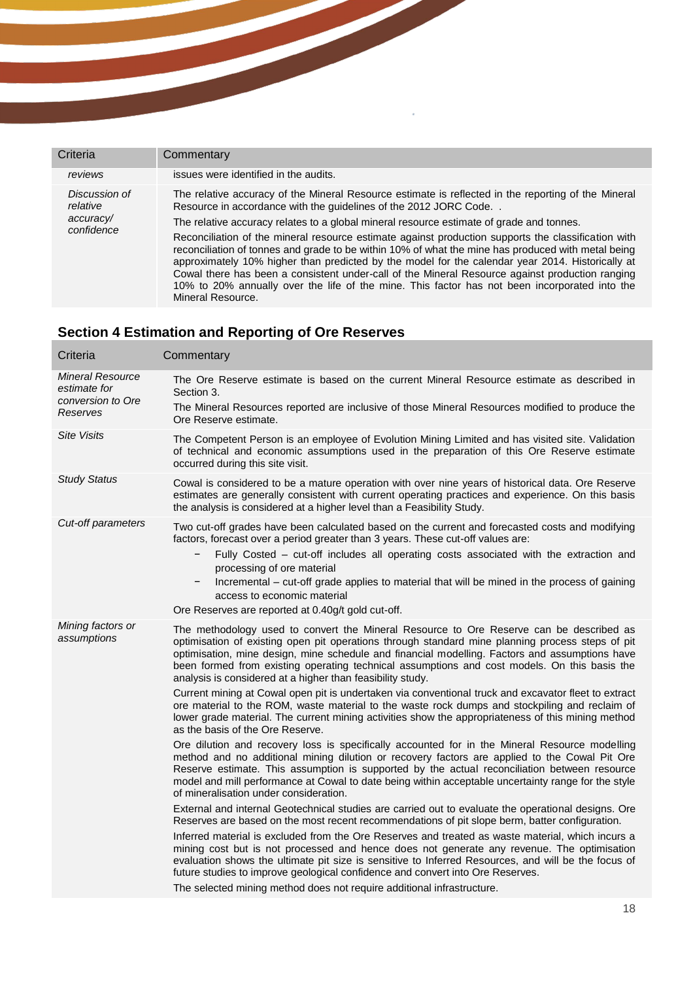| Criteria                                             | Commentary                                                                                                                                                                                                                                                                                                                                                                                                                                                                                                                                                                                                                                                                                                                                                                                                    |
|------------------------------------------------------|---------------------------------------------------------------------------------------------------------------------------------------------------------------------------------------------------------------------------------------------------------------------------------------------------------------------------------------------------------------------------------------------------------------------------------------------------------------------------------------------------------------------------------------------------------------------------------------------------------------------------------------------------------------------------------------------------------------------------------------------------------------------------------------------------------------|
| reviews                                              | issues were identified in the audits.                                                                                                                                                                                                                                                                                                                                                                                                                                                                                                                                                                                                                                                                                                                                                                         |
| Discussion of<br>relative<br>accuracy/<br>confidence | The relative accuracy of the Mineral Resource estimate is reflected in the reporting of the Mineral<br>Resource in accordance with the guidelines of the 2012 JORC Code<br>The relative accuracy relates to a global mineral resource estimate of grade and tonnes.<br>Reconciliation of the mineral resource estimate against production supports the classification with<br>reconciliation of tonnes and grade to be within 10% of what the mine has produced with metal being<br>approximately 10% higher than predicted by the model for the calendar year 2014. Historically at<br>Cowal there has been a consistent under-call of the Mineral Resource against production ranging<br>10% to 20% annually over the life of the mine. This factor has not been incorporated into the<br>Mineral Resource. |

# **Section 4 Estimation and Reporting of Ore Reserves**

| Criteria                                                                 | Commentary                                                                                                                                                                                                                                                                                                                                                                                                                                                                                                                                                                                                                                                                                                                                                                                                                                                                                                                                                                                                                                                                                                                                                                                                                                                                                                                                                                                                                                                                                                                                                                                                                                                                                                                                                                                                                                                                                                                                         |
|--------------------------------------------------------------------------|----------------------------------------------------------------------------------------------------------------------------------------------------------------------------------------------------------------------------------------------------------------------------------------------------------------------------------------------------------------------------------------------------------------------------------------------------------------------------------------------------------------------------------------------------------------------------------------------------------------------------------------------------------------------------------------------------------------------------------------------------------------------------------------------------------------------------------------------------------------------------------------------------------------------------------------------------------------------------------------------------------------------------------------------------------------------------------------------------------------------------------------------------------------------------------------------------------------------------------------------------------------------------------------------------------------------------------------------------------------------------------------------------------------------------------------------------------------------------------------------------------------------------------------------------------------------------------------------------------------------------------------------------------------------------------------------------------------------------------------------------------------------------------------------------------------------------------------------------------------------------------------------------------------------------------------------------|
| <b>Mineral Resource</b><br>estimate for<br>conversion to Ore<br>Reserves | The Ore Reserve estimate is based on the current Mineral Resource estimate as described in<br>Section 3.<br>The Mineral Resources reported are inclusive of those Mineral Resources modified to produce the<br>Ore Reserve estimate.                                                                                                                                                                                                                                                                                                                                                                                                                                                                                                                                                                                                                                                                                                                                                                                                                                                                                                                                                                                                                                                                                                                                                                                                                                                                                                                                                                                                                                                                                                                                                                                                                                                                                                               |
| Site Visits                                                              | The Competent Person is an employee of Evolution Mining Limited and has visited site. Validation<br>of technical and economic assumptions used in the preparation of this Ore Reserve estimate<br>occurred during this site visit.                                                                                                                                                                                                                                                                                                                                                                                                                                                                                                                                                                                                                                                                                                                                                                                                                                                                                                                                                                                                                                                                                                                                                                                                                                                                                                                                                                                                                                                                                                                                                                                                                                                                                                                 |
| <b>Study Status</b>                                                      | Cowal is considered to be a mature operation with over nine years of historical data. Ore Reserve<br>estimates are generally consistent with current operating practices and experience. On this basis<br>the analysis is considered at a higher level than a Feasibility Study.                                                                                                                                                                                                                                                                                                                                                                                                                                                                                                                                                                                                                                                                                                                                                                                                                                                                                                                                                                                                                                                                                                                                                                                                                                                                                                                                                                                                                                                                                                                                                                                                                                                                   |
| Cut-off parameters                                                       | Two cut-off grades have been calculated based on the current and forecasted costs and modifying<br>factors, forecast over a period greater than 3 years. These cut-off values are:<br>Fully Costed – cut-off includes all operating costs associated with the extraction and<br>-<br>processing of ore material<br>Incremental – cut-off grade applies to material that will be mined in the process of gaining<br>access to economic material<br>Ore Reserves are reported at 0.40g/t gold cut-off.                                                                                                                                                                                                                                                                                                                                                                                                                                                                                                                                                                                                                                                                                                                                                                                                                                                                                                                                                                                                                                                                                                                                                                                                                                                                                                                                                                                                                                               |
| Mining factors or<br>assumptions                                         | The methodology used to convert the Mineral Resource to Ore Reserve can be described as<br>optimisation of existing open pit operations through standard mine planning process steps of pit<br>optimisation, mine design, mine schedule and financial modelling. Factors and assumptions have<br>been formed from existing operating technical assumptions and cost models. On this basis the<br>analysis is considered at a higher than feasibility study.<br>Current mining at Cowal open pit is undertaken via conventional truck and excavator fleet to extract<br>ore material to the ROM, waste material to the waste rock dumps and stockpiling and reclaim of<br>lower grade material. The current mining activities show the appropriateness of this mining method<br>as the basis of the Ore Reserve.<br>Ore dilution and recovery loss is specifically accounted for in the Mineral Resource modelling<br>method and no additional mining dilution or recovery factors are applied to the Cowal Pit Ore<br>Reserve estimate. This assumption is supported by the actual reconciliation between resource<br>model and mill performance at Cowal to date being within acceptable uncertainty range for the style<br>of mineralisation under consideration.<br>External and internal Geotechnical studies are carried out to evaluate the operational designs. Ore<br>Reserves are based on the most recent recommendations of pit slope berm, batter configuration.<br>Inferred material is excluded from the Ore Reserves and treated as waste material, which incurs a<br>mining cost but is not processed and hence does not generate any revenue. The optimisation<br>evaluation shows the ultimate pit size is sensitive to Inferred Resources, and will be the focus of<br>future studies to improve geological confidence and convert into Ore Reserves.<br>The selected mining method does not require additional infrastructure. |